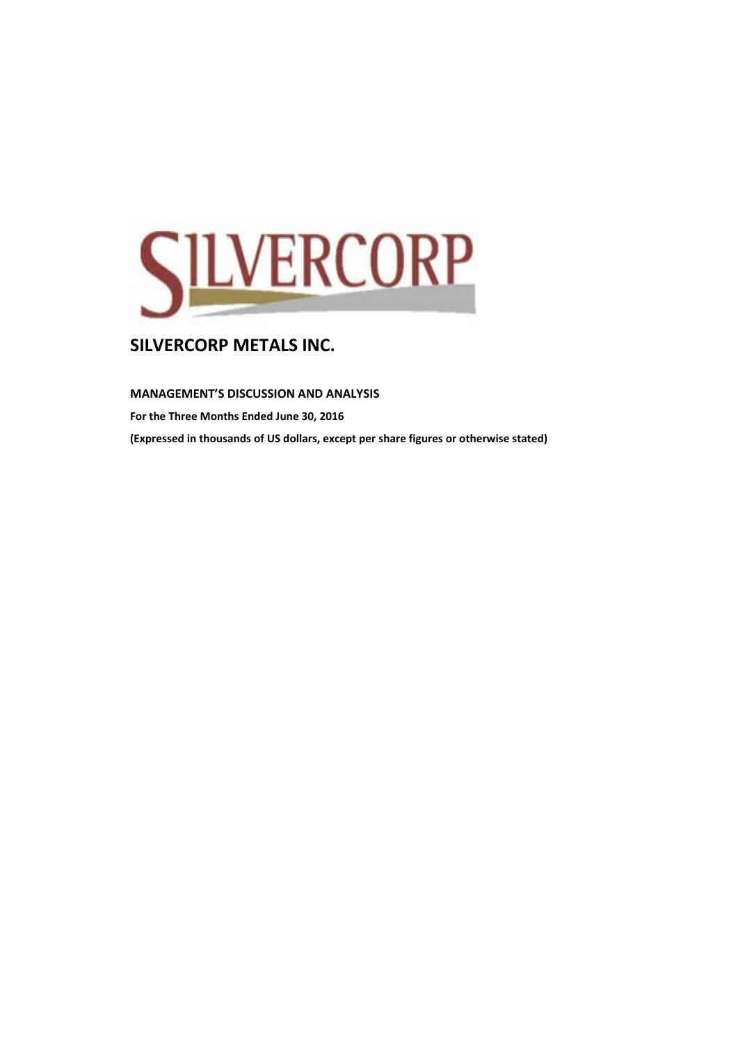

### **MANAGEMENT'S DISCUSSION AND ANALYSIS**

**For the Three Months Ended June 30, 2016 (Expressed in thousands of US dollars, except per share figures or otherwise stated)**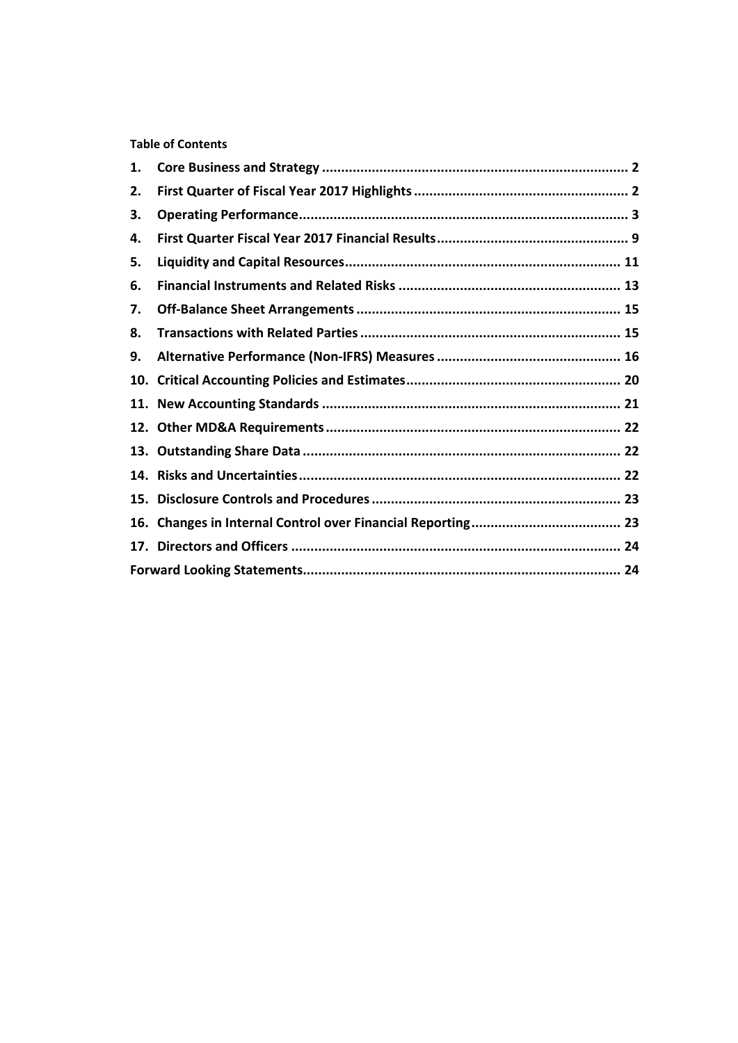### **Table of Contents**

| 1.  |  |
|-----|--|
| 2.  |  |
| З.  |  |
| 4.  |  |
| 5.  |  |
| 6.  |  |
| 7.  |  |
| 8.  |  |
| 9.  |  |
| 10. |  |
|     |  |
|     |  |
|     |  |
|     |  |
|     |  |
| 16. |  |
|     |  |
|     |  |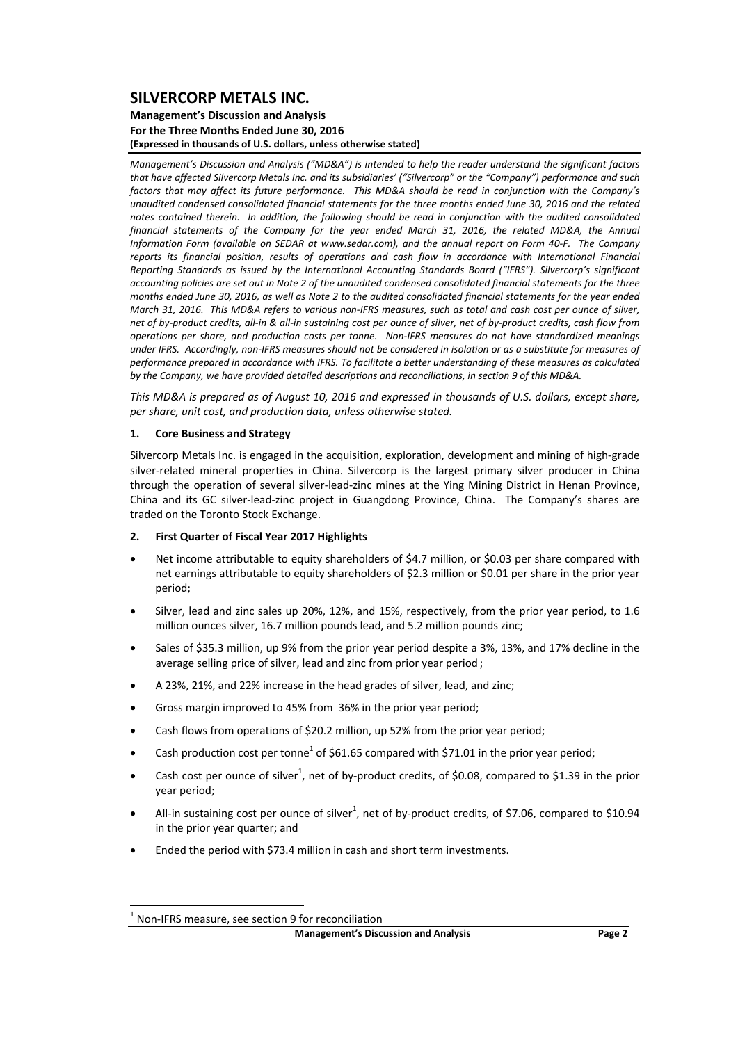### **Management's Discussion and Analysis For the Three Months Ended June 30, 2016 (Expressed in thousands of U.S. dollars, unless otherwise stated)**

*Management's Discussion and Analysis ("MD&A") is intended to help the reader understand the significant factors* that have affected Silvercorp Metals Inc. and its subsidiaries' ("Silvercorp" or the "Company") performance and such factors that may affect its future performance. This MD&A should be read in conjunction with the Company's *unaudited condensed consolidated financial statements for the three months ended June 30, 2016 and the related* notes contained therein. In addition, the following should be read in conjunction with the audited consolidated *financial statements of the Company for the year ended March 31, 2016, the related MD&A, the Annual* Information Form (available on SEDAR at www.sedar.com), and the annual report on Form 40-F. The Company *reports its financial position, results of operations and cash flow in accordance with International Financial Reporting Standards as issued by the International Accounting Standards Board ("IFRS"). Silvercorp's significant* accounting policies are set out in Note 2 of the unaudited condensed consolidated financial statements for the three months ended June 30, 2016, as well as Note 2 to the audited consolidated financial statements for the year ended March 31, 2016. This MD&A refers to various non-IFRS measures, such as total and cash cost per ounce of silver, net of by-product credits, all-in & all-in sustaining cost per ounce of silver, net of by-product credits, cash flow from operations per share, and production costs per tonne. Non-IFRS measures do not have standardized meanings under IFRS. Accordingly, non-IFRS measures should not be considered in isolation or as a substitute for measures of performance prepared in accordance with IFRS. To facilitate a better understandina of these measures as calculated *by the Company, we have provided detailed descriptions and reconciliations, in section 9 of this MD&A.* 

This MD&A is prepared as of August 10, 2016 and expressed in thousands of U.S. dollars, except share, *per share, unit cost, and production data, unless otherwise stated.*

#### **1. Core Business and Strategy**

Silvercorp Metals Inc. is engaged in the acquisition, exploration, development and mining of high‐grade silver-related mineral properties in China. Silvercorp is the largest primary silver producer in China through the operation of several silver‐lead‐zinc mines at the Ying Mining District in Henan Province, China and its GC silver-lead-zinc project in Guangdong Province, China. The Company's shares are traded on the Toronto Stock Exchange.

#### **2. First Quarter of Fiscal Year 2017 Highlights**

- Net income attributable to equity shareholders of \$4.7 million, or \$0.03 per share compared with net earnings attributable to equity shareholders of \$2.3 million or \$0.01 per share in the prior year period;
- Silver, lead and zinc sales up 20%, 12%, and 15%, respectively, from the prior year period, to 1.6 million ounces silver, 16.7 million pounds lead, and 5.2 million pounds zinc;
- Sales of \$35.3 million, up 9% from the prior year period despite a 3%, 13%, and 17% decline in the average selling price of silver, lead and zinc from prior year period ;
- A 23%, 21%, and 22% increase in the head grades of silver, lead, and zinc;
- Gross margin improved to 45% from 36% in the prior year period;
- Cash flows from operations of \$20.2 million, up 52% from the prior year period;
- Cash production cost per tonne<sup>1</sup> of \$61.65 compared with \$71.01 in the prior year period:
- Cash cost per ounce of silver<sup>1</sup>, net of by-product credits, of \$0.08, compared to \$1.39 in the prior year period;
- All-in sustaining cost per ounce of silver<sup>1</sup>, net of by-product credits, of \$7.06, compared to \$10.94 in the prior year quarter; and
- Ended the period with \$73.4 million in cash and short term investments.

Non-IFRS measure, see section 9 for reconciliation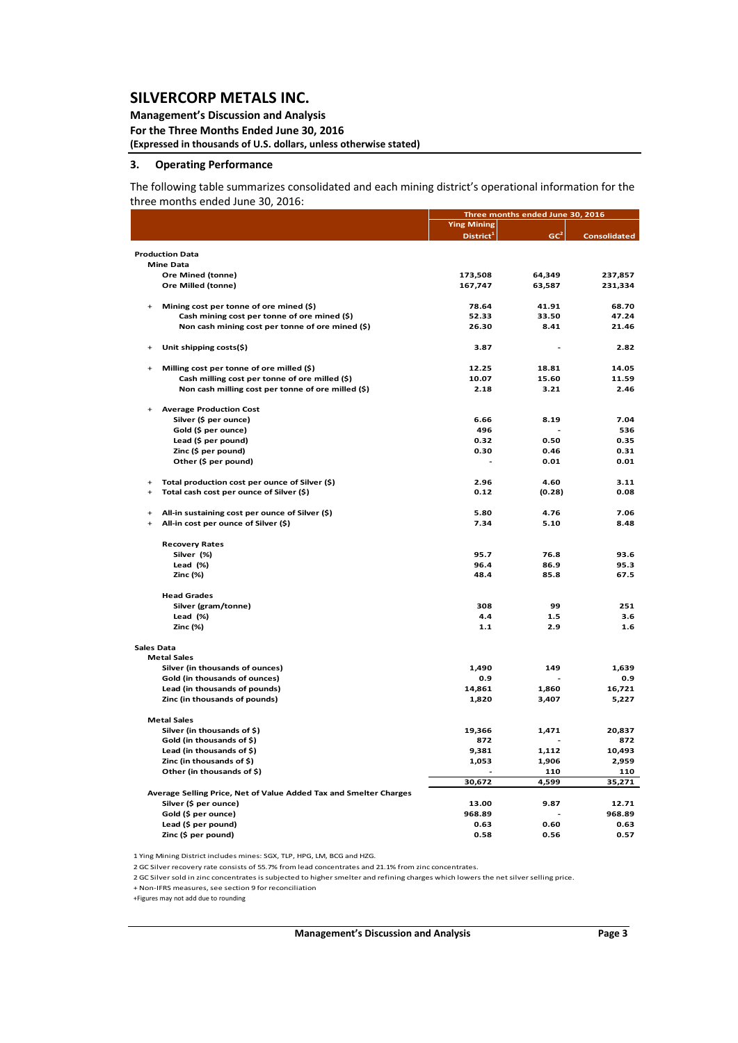#### **Management's Discussion and Analysis For the Three Months Ended June 30, 2016 (Expressed in thousands of U.S. dollars, unless otherwise stated)**

#### **3. Operating Performance**

The following table summarizes consolidated and each mining district's operational information for the three months ended June 30, 2016:

|                   |                                                                   |                       | Three months ended June 30, 2016 |                     |
|-------------------|-------------------------------------------------------------------|-----------------------|----------------------------------|---------------------|
|                   |                                                                   | <b>Ying Mining</b>    |                                  |                     |
|                   |                                                                   | District <sup>1</sup> | GC <sup>2</sup>                  | <b>Consolidated</b> |
|                   |                                                                   |                       |                                  |                     |
|                   | <b>Production Data</b>                                            |                       |                                  |                     |
|                   | <b>Mine Data</b>                                                  |                       |                                  |                     |
|                   | Ore Mined (tonne)                                                 | 173,508               | 64,349                           | 237,857             |
|                   | Ore Milled (tonne)                                                | 167,747               | 63,587                           | 231,334             |
|                   |                                                                   |                       |                                  |                     |
|                   | Mining cost per tonne of ore mined (\$)                           | 78.64                 | 41.91                            | 68.70               |
|                   | Cash mining cost per tonne of ore mined (\$)                      | 52.33                 | 33.50                            | 47.24               |
|                   | Non cash mining cost per tonne of ore mined (\$)                  | 26.30                 | 8.41                             | 21.46               |
|                   | Unit shipping costs(\$)                                           | 3.87                  |                                  | 2.82                |
|                   | Milling cost per tonne of ore milled (\$)                         | 12.25                 | 18.81                            | 14.05               |
|                   | Cash milling cost per tonne of ore milled (\$)                    | 10.07                 | 15.60                            | 11.59               |
|                   | Non cash milling cost per tonne of ore milled (\$)                | 2.18                  | 3.21                             | 2.46                |
|                   |                                                                   |                       |                                  |                     |
|                   | <b>Average Production Cost</b>                                    |                       |                                  |                     |
|                   | Silver (\$ per ounce)                                             | 6.66                  | 8.19                             | 7.04                |
|                   | Gold (\$ per ounce)                                               | 496                   |                                  | 536                 |
|                   | Lead (\$ per pound)                                               | 0.32                  | 0.50                             | 0.35                |
|                   | Zinc (\$ per pound)                                               | 0.30                  | 0.46                             | 0.31                |
|                   | Other (\$ per pound)                                              |                       | 0.01                             | 0.01                |
| $\ddot{}$         | Total production cost per ounce of Silver (\$)                    | 2.96                  | 4.60                             | 3.11                |
|                   | Total cash cost per ounce of Silver (\$)                          | 0.12                  | (0.28)                           | 0.08                |
| $\ddot{}$         | All-in sustaining cost per ounce of Silver (\$)                   | 5.80                  | 4.76                             | 7.06                |
| $\ddot{}$         | All-in cost per ounce of Silver (\$)                              | 7.34                  | 5.10                             | 8.48                |
|                   |                                                                   |                       |                                  |                     |
|                   | <b>Recovery Rates</b>                                             |                       |                                  |                     |
|                   | Silver (%)                                                        | 95.7                  | 76.8                             | 93.6                |
|                   | Lead $(%)$                                                        | 96.4                  | 86.9                             | 95.3                |
|                   | Zinc (%)                                                          | 48.4                  | 85.8                             | 67.5                |
|                   | <b>Head Grades</b>                                                |                       |                                  |                     |
|                   | Silver (gram/tonne)                                               | 308                   | 99                               | 251                 |
|                   | Lead (%)                                                          | 4.4                   | 1.5                              | 3.6                 |
|                   | Zinc (%)                                                          | 1.1                   | 2.9                              | 1.6                 |
|                   |                                                                   |                       |                                  |                     |
| <b>Sales Data</b> | <b>Metal Sales</b>                                                |                       |                                  |                     |
|                   | Silver (in thousands of ounces)                                   | 1,490                 | 149                              | 1,639               |
|                   | Gold (in thousands of ounces)                                     | 0.9                   |                                  | 0.9                 |
|                   | Lead (in thousands of pounds)                                     | 14,861                | 1,860                            | 16,721              |
|                   | Zinc (in thousands of pounds)                                     | 1,820                 | 3,407                            | 5,227               |
|                   |                                                                   |                       |                                  |                     |
|                   | <b>Metal Sales</b>                                                |                       |                                  |                     |
|                   | Silver (in thousands of \$)                                       | 19,366                | 1,471                            | 20,837              |
|                   | Gold (in thousands of \$)                                         | 872                   |                                  | 872                 |
|                   | Lead (in thousands of \$)                                         | 9,381                 | 1,112                            | 10,493              |
|                   | Zinc (in thousands of \$)                                         | 1,053                 | 1,906                            | 2,959               |
|                   | Other (in thousands of \$)                                        |                       | 110                              | 110                 |
|                   | Average Selling Price, Net of Value Added Tax and Smelter Charges | 30,672                | 4,599                            | 35,271              |
|                   | Silver (\$ per ounce)                                             | 13.00                 | 9.87                             | 12.71               |
|                   | Gold (\$ per ounce)                                               | 968.89                |                                  | 968.89              |
|                   | Lead (\$ per pound)                                               | 0.63                  | 0.60                             | 0.63                |
|                   | Zinc (\$ per pound)                                               | 0.58                  | 0.56                             | 0.57                |
|                   |                                                                   |                       |                                  |                     |

1 Ying Mining District includes mines: SGX, TLP, HPG, LM, BCG and HZG.

2 GC Silver recovery rate consists of 55.7% from lead concentrates and 21.1% from zinc concentrates.

2 GC Silversold in zinc concentrates is subjected to highersmelter and refining charges which lowers the netsilverselling price.

+ Non‐IFRS measures, see section 9 for reconciliation

+Figures may not add due to rounding

**Management's Discussion and Analysis Page 3**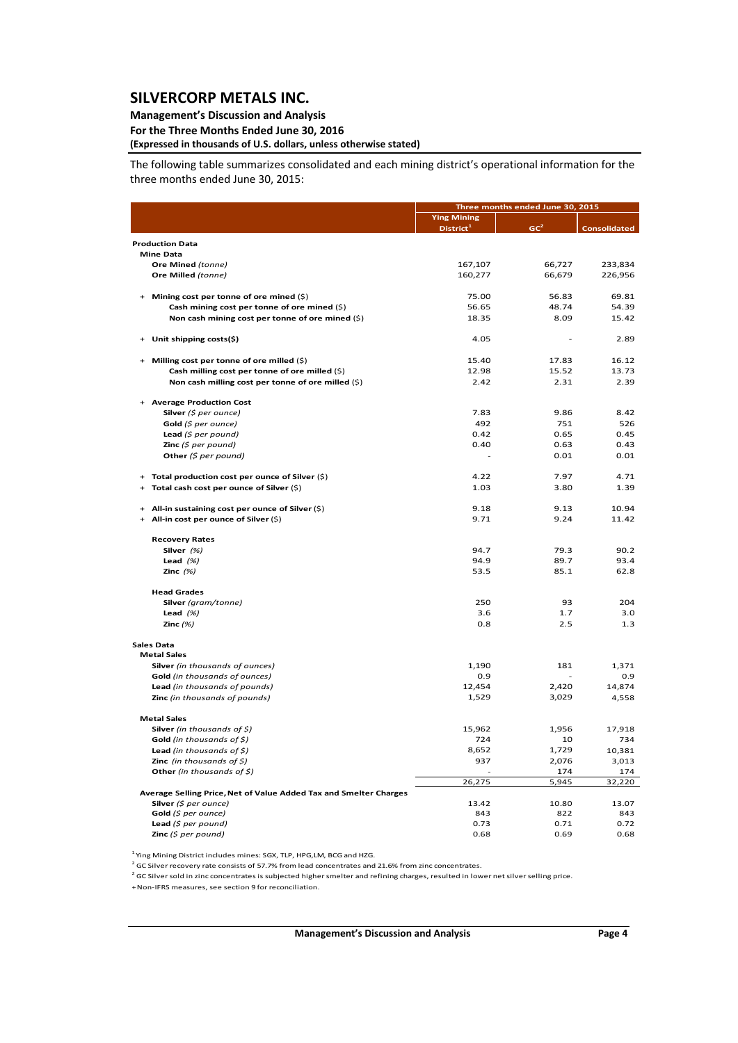### **Management's Discussion and Analysis**

### **For the Three Months Ended June 30, 2016**

**(Expressed in thousands of U.S. dollars, unless otherwise stated)**

The following table summarizes consolidated and each mining district's operational information for the three months ended June 30, 2015:

|                                                                   | Three months ended June 30, 2015            |                 |                     |  |  |
|-------------------------------------------------------------------|---------------------------------------------|-----------------|---------------------|--|--|
|                                                                   | <b>Ying Mining</b><br>District <sup>1</sup> | GC <sup>2</sup> | <b>Consolidated</b> |  |  |
| <b>Production Data</b>                                            |                                             |                 |                     |  |  |
| <b>Mine Data</b>                                                  |                                             |                 |                     |  |  |
| Ore Mined (tonne)                                                 | 167,107                                     | 66,727          | 233,834             |  |  |
| Ore Milled (tonne)                                                | 160,277                                     | 66,679          | 226,956             |  |  |
|                                                                   |                                             |                 |                     |  |  |
| Mining cost per tonne of ore mined (\$)                           | 75.00                                       | 56.83           | 69.81               |  |  |
| Cash mining cost per tonne of ore mined (\$)                      | 56.65                                       | 48.74           | 54.39               |  |  |
| Non cash mining cost per tonne of ore mined (\$)                  | 18.35                                       | 8.09            | 15.42               |  |  |
| Unit shipping costs(\$)                                           | 4.05                                        |                 | 2.89                |  |  |
| Milling cost per tonne of ore milled (\$)<br>$+$                  | 15.40                                       | 17.83           | 16.12               |  |  |
| Cash milling cost per tonne of ore milled (\$)                    | 12.98                                       | 15.52           | 13.73               |  |  |
| Non cash milling cost per tonne of ore milled (\$)                | 2.42                                        | 2.31            | 2.39                |  |  |
| <b>Average Production Cost</b>                                    |                                             |                 |                     |  |  |
| Silver (\$ per ounce)                                             | 7.83                                        | 9.86            | 8.42                |  |  |
| Gold $(5$ per ounce)                                              | 492                                         | 751             | 526                 |  |  |
| <b>Lead</b> (\$ per pound)                                        | 0.42                                        | 0.65            | 0.45                |  |  |
| <b>Zinc</b> (\$ per pound)                                        | 0.40                                        | 0.63            | 0.43                |  |  |
| Other $(\xi$ per pound)                                           |                                             | 0.01            | 0.01                |  |  |
| Total production cost per ounce of Silver (\$)                    | 4.22                                        | 7.97            | 4.71                |  |  |
| Total cash cost per ounce of Silver (\$)                          | 1.03                                        | 3.80            | 1.39                |  |  |
| All-in sustaining cost per ounce of Silver (\$)<br>$\ddot{}$      | 9.18                                        | 9.13            | 10.94               |  |  |
| All-in cost per ounce of Silver (\$)<br>$+$                       | 9.71                                        | 9.24            | 11.42               |  |  |
| <b>Recovery Rates</b>                                             |                                             |                 |                     |  |  |
| Silver (%)                                                        | 94.7                                        | 79.3            | 90.2                |  |  |
| Lead $(%)$                                                        | 94.9                                        | 89.7            | 93.4                |  |  |
| Zinc $(%)$                                                        | 53.5                                        | 85.1            | 62.8                |  |  |
| <b>Head Grades</b>                                                |                                             |                 |                     |  |  |
| Silver (gram/tonne)                                               | 250                                         | 93              | 204                 |  |  |
| Lead $(%)$                                                        | 3.6                                         | 1.7             | 3.0                 |  |  |
| Zinc $(%)$                                                        | 0.8                                         | 2.5             | 1.3                 |  |  |
| <b>Sales Data</b>                                                 |                                             |                 |                     |  |  |
| <b>Metal Sales</b>                                                |                                             |                 |                     |  |  |
| Silver (in thousands of ounces)                                   | 1,190                                       | 181             | 1,371               |  |  |
| Gold (in thousands of ounces)                                     | 0.9                                         |                 | 0.9                 |  |  |
| Lead (in thousands of pounds)                                     | 12,454                                      | 2,420           | 14,874              |  |  |
| Zinc (in thousands of pounds)                                     | 1,529                                       | 3,029           | 4,558               |  |  |
| <b>Metal Sales</b>                                                |                                             |                 |                     |  |  |
| <b>Silver</b> (in thousands of $\zeta$ )                          | 15,962                                      | 1,956           | 17,918              |  |  |
| Gold (in thousands of $\zeta$ )                                   | 724                                         | 10              | 734                 |  |  |
| Lead (in thousands of $\zeta$ )                                   | 8,652                                       | 1,729           | 10,381              |  |  |
| <b>Zinc</b> (in thousands of $\zeta$ )                            | 937                                         | 2,076           | 3,013               |  |  |
| Other (in thousands of \$)                                        |                                             | 174             | 174                 |  |  |
|                                                                   | 26,275                                      | 5,945           | 32,220              |  |  |
| Average Selling Price, Net of Value Added Tax and Smelter Charges |                                             |                 |                     |  |  |
| Silver (\$ per ounce)                                             | 13.42                                       | 10.80           | 13.07               |  |  |
| Gold (\$ per ounce)                                               | 843                                         | 822             | 843                 |  |  |
| Lead $(5$ per pound)                                              | 0.73                                        | 0.71            | 0.72                |  |  |
| Zinc $(5$ per pound)                                              | 0.68                                        | 0.69            | 0.68                |  |  |

<sup>1</sup> Ying Mining District includes mines: SGX, TLP, HPG,LM, BCG and HZG.

 $2$  GC Silver recovery rate consists of 57.7% from lead concentrates and 21.6% from zinc concentrates.

 $^2$  GC Silver sold in zinc concentrates is subjected higher smelter and refining charges, resulted in lower net silver selling price.

+Non‐IFRS measures, see section 9 for reconciliation.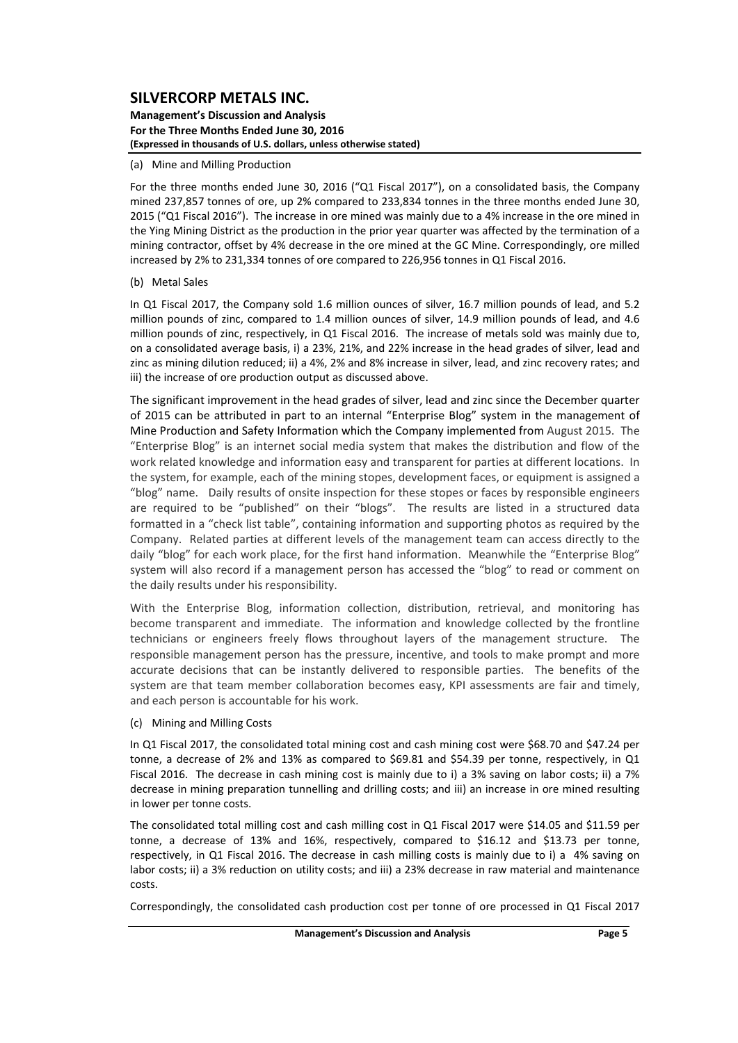#### **Management's Discussion and Analysis For the Three Months Ended June 30, 2016 (Expressed in thousands of U.S. dollars, unless otherwise stated)**

#### (a) Mine and Milling Production

For the three months ended June 30, 2016 ("Q1 Fiscal 2017"), on a consolidated basis, the Company mined 237,857 tonnes of ore, up 2% compared to 233,834 tonnes in the three months ended June 30, 2015 ("Q1 Fiscal 2016"). The increase in ore mined was mainly due to a 4% increase in the ore mined in the Ying Mining District as the production in the prior year quarter was affected by the termination of a mining contractor, offset by 4% decrease in the ore mined at the GC Mine. Correspondingly, ore milled increased by 2% to 231,334 tonnes of ore compared to 226,956 tonnes in Q1 Fiscal 2016.

#### (b) Metal Sales

In Q1 Fiscal 2017, the Company sold 1.6 million ounces of silver, 16.7 million pounds of lead, and 5.2 million pounds of zinc, compared to 1.4 million ounces of silver, 14.9 million pounds of lead, and 4.6 million pounds of zinc, respectively, in Q1 Fiscal 2016. The increase of metals sold was mainly due to, on a consolidated average basis, i) a 23%, 21%, and 22% increase in the head grades of silver, lead and zinc as mining dilution reduced; ii) a 4%, 2% and 8% increase in silver, lead, and zinc recovery rates; and iii) the increase of ore production output as discussed above.

The significant improvement in the head grades of silver, lead and zinc since the December quarter of 2015 can be attributed in part to an internal "Enterprise Blog" system in the management of Mine Production and Safety Information which the Company implemented from August 2015. The "Enterprise Blog" is an internet social media system that makes the distribution and flow of the work related knowledge and information easy and transparent for parties at different locations. In the system, for example, each of the mining stopes, development faces, or equipment is assigned a "blog" name. Daily results of onsite inspection for these stopes or faces by responsible engineers are required to be "published" on their "blogs". The results are listed in a structured data formatted in a "check list table", containing information and supporting photos as required by the Company. Related parties at different levels of the management team can access directly to the daily "blog" for each work place, for the first hand information. Meanwhile the "Enterprise Blog" system will also record if a management person has accessed the "blog" to read or comment on the daily results under his responsibility.

With the Enterprise Blog, information collection, distribution, retrieval, and monitoring has become transparent and immediate. The information and knowledge collected by the frontline technicians or engineers freely flows throughout layers of the management structure. The responsible management person has the pressure, incentive, and tools to make prompt and more accurate decisions that can be instantly delivered to responsible parties. The benefits of the system are that team member collaboration becomes easy, KPI assessments are fair and timely, and each person is accountable for his work.

#### (c) Mining and Milling Costs

In Q1 Fiscal 2017, the consolidated total mining cost and cash mining cost were \$68.70 and \$47.24 per tonne, a decrease of 2% and 13% as compared to \$69.81 and \$54.39 per tonne, respectively, in Q1 Fiscal 2016. The decrease in cash mining cost is mainly due to i) a 3% saving on labor costs; ii) a 7% decrease in mining preparation tunnelling and drilling costs; and iii) an increase in ore mined resulting in lower per tonne costs.

The consolidated total milling cost and cash milling cost in Q1 Fiscal 2017 were \$14.05 and \$11.59 per tonne, a decrease of 13% and 16%, respectively, compared to \$16.12 and \$13.73 per tonne, respectively, in Q1 Fiscal 2016. The decrease in cash milling costs is mainly due to i) a 4% saving on labor costs; ii) a 3% reduction on utility costs; and iii) a 23% decrease in raw material and maintenance costs.

Correspondingly, the consolidated cash production cost per tonne of ore processed in Q1 Fiscal 2017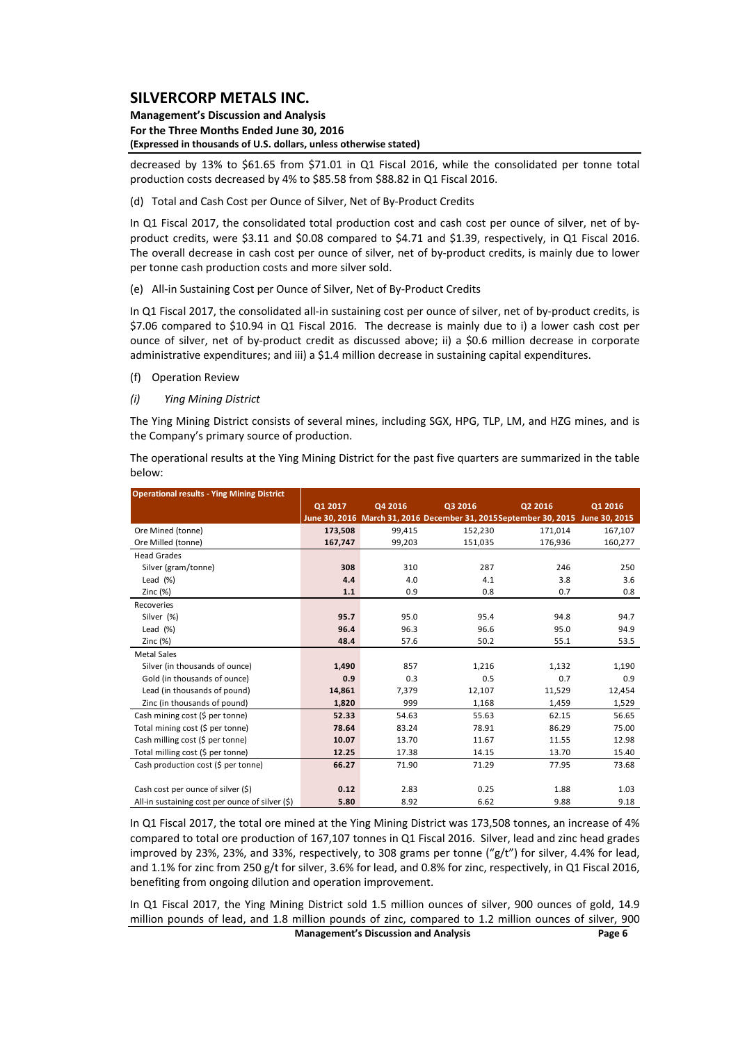#### **Management's Discussion and Analysis For the Three Months Ended June 30, 2016 (Expressed in thousands of U.S. dollars, unless otherwise stated)**

decreased by 13% to \$61.65 from \$71.01 in Q1 Fiscal 2016, while the consolidated per tonne total production costs decreased by 4% to \$85.58 from \$88.82 in Q1 Fiscal 2016.

(d) Total and Cash Cost per Ounce of Silver, Net of By‐Product Credits

In Q1 Fiscal 2017, the consolidated total production cost and cash cost per ounce of silver, net of byproduct credits, were \$3.11 and \$0.08 compared to \$4.71 and \$1.39, respectively, in Q1 Fiscal 2016. The overall decrease in cash cost per ounce of silver, net of by-product credits, is mainly due to lower per tonne cash production costs and more silver sold.

(e) All‐in Sustaining Cost per Ounce of Silver, Net of By‐Product Credits

In Q1 Fiscal 2017, the consolidated all-in sustaining cost per ounce of silver, net of by-product credits, is \$7.06 compared to \$10.94 in Q1 Fiscal 2016. The decrease is mainly due to i) a lower cash cost per ounce of silver, net of by‐product credit as discussed above; ii) a \$0.6 million decrease in corporate administrative expenditures; and iii) a \$1.4 million decrease in sustaining capital expenditures.

- (f) Operation Review
- *(i) Ying Mining District*

The Ying Mining District consists of several mines, including SGX, HPG, TLP, LM, and HZG mines, and is the Company's primary source of production.

The operational results at the Ying Mining District for the past five quarters are summarized in the table below:

| <b>Operational results - Ying Mining District</b> |         |         |         |                                                                                 |         |
|---------------------------------------------------|---------|---------|---------|---------------------------------------------------------------------------------|---------|
|                                                   | Q1 2017 | Q4 2016 | Q3 2016 | Q2 2016                                                                         | Q1 2016 |
|                                                   |         |         |         | June 30, 2016 March 31, 2016 December 31, 2015 September 30, 2015 June 30, 2015 |         |
| Ore Mined (tonne)                                 | 173,508 | 99,415  | 152,230 | 171,014                                                                         | 167,107 |
| Ore Milled (tonne)                                | 167,747 | 99,203  | 151,035 | 176,936                                                                         | 160,277 |
| <b>Head Grades</b>                                |         |         |         |                                                                                 |         |
| Silver (gram/tonne)                               | 308     | 310     | 287     | 246                                                                             | 250     |
| Lead $(%)$                                        | 4.4     | 4.0     | 4.1     | 3.8                                                                             | 3.6     |
| Zinc $(%)$                                        | 1.1     | 0.9     | 0.8     | 0.7                                                                             | 0.8     |
| Recoveries                                        |         |         |         |                                                                                 |         |
| Silver (%)                                        | 95.7    | 95.0    | 95.4    | 94.8                                                                            | 94.7    |
| Lead $(\%)$                                       | 96.4    | 96.3    | 96.6    | 95.0                                                                            | 94.9    |
| Zinc $(%)$                                        | 48.4    | 57.6    | 50.2    | 55.1                                                                            | 53.5    |
| <b>Metal Sales</b>                                |         |         |         |                                                                                 |         |
| Silver (in thousands of ounce)                    | 1,490   | 857     | 1,216   | 1,132                                                                           | 1,190   |
| Gold (in thousands of ounce)                      | 0.9     | 0.3     | 0.5     | 0.7                                                                             | 0.9     |
| Lead (in thousands of pound)                      | 14,861  | 7,379   | 12,107  | 11,529                                                                          | 12,454  |
| Zinc (in thousands of pound)                      | 1,820   | 999     | 1,168   | 1,459                                                                           | 1,529   |
| Cash mining cost (\$ per tonne)                   | 52.33   | 54.63   | 55.63   | 62.15                                                                           | 56.65   |
| Total mining cost (\$ per tonne)                  | 78.64   | 83.24   | 78.91   | 86.29                                                                           | 75.00   |
| Cash milling cost (\$ per tonne)                  | 10.07   | 13.70   | 11.67   | 11.55                                                                           | 12.98   |
| Total milling cost (\$ per tonne)                 | 12.25   | 17.38   | 14.15   | 13.70                                                                           | 15.40   |
| Cash production cost (\$ per tonne)               | 66.27   | 71.90   | 71.29   | 77.95                                                                           | 73.68   |
|                                                   |         |         |         |                                                                                 |         |
| Cash cost per ounce of silver (\$)                | 0.12    | 2.83    | 0.25    | 1.88                                                                            | 1.03    |
| All-in sustaining cost per ounce of silver (\$)   | 5.80    | 8.92    | 6.62    | 9.88                                                                            | 9.18    |

In Q1 Fiscal 2017, the total ore mined at the Ying Mining District was 173,508 tonnes, an increase of 4% compared to total ore production of 167,107 tonnes in Q1 Fiscal 2016. Silver, lead and zinc head grades improved by 23%, 23%, and 33%, respectively, to 308 grams per tonne ("g/t") for silver, 4.4% for lead, and 1.1% for zinc from 250 g/t for silver, 3.6% for lead, and 0.8% for zinc, respectively, in Q1 Fiscal 2016, benefiting from ongoing dilution and operation improvement.

In Q1 Fiscal 2017, the Ying Mining District sold 1.5 million ounces of silver, 900 ounces of gold, 14.9 million pounds of lead, and 1.8 million pounds of zinc, compared to 1.2 million ounces of silver, 900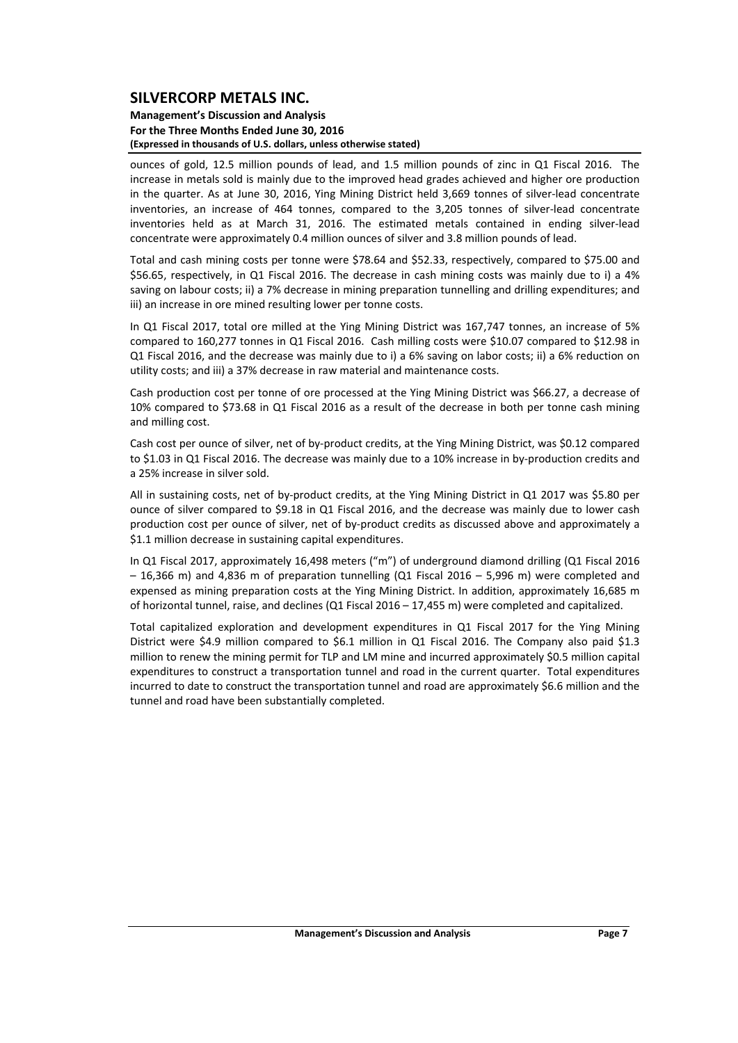#### **Management's Discussion and Analysis For the Three Months Ended June 30, 2016 (Expressed in thousands of U.S. dollars, unless otherwise stated)**

ounces of gold, 12.5 million pounds of lead, and 1.5 million pounds of zinc in Q1 Fiscal 2016. The increase in metals sold is mainly due to the improved head grades achieved and higher ore production in the quarter. As at June 30, 2016, Ying Mining District held 3,669 tonnes of silver-lead concentrate inventories, an increase of 464 tonnes, compared to the 3,205 tonnes of silver-lead concentrate inventories held as at March 31, 2016. The estimated metals contained in ending silver-lead concentrate were approximately 0.4 million ounces of silver and 3.8 million pounds of lead.

Total and cash mining costs per tonne were \$78.64 and \$52.33, respectively, compared to \$75.00 and \$56.65, respectively, in Q1 Fiscal 2016. The decrease in cash mining costs was mainly due to i) a 4% saving on labour costs; ii) a 7% decrease in mining preparation tunnelling and drilling expenditures; and iii) an increase in ore mined resulting lower per tonne costs.

In Q1 Fiscal 2017, total ore milled at the Ying Mining District was 167,747 tonnes, an increase of 5% compared to 160,277 tonnes in Q1 Fiscal 2016. Cash milling costs were \$10.07 compared to \$12.98 in Q1 Fiscal 2016, and the decrease was mainly due to i) a 6% saving on labor costs; ii) a 6% reduction on utility costs; and iii) a 37% decrease in raw material and maintenance costs.

Cash production cost per tonne of ore processed at the Ying Mining District was \$66.27, a decrease of 10% compared to \$73.68 in Q1 Fiscal 2016 as a result of the decrease in both per tonne cash mining and milling cost.

Cash cost per ounce of silver, net of by‐product credits, at the Ying Mining District, was \$0.12 compared to \$1.03 in Q1 Fiscal 2016. The decrease was mainly due to a 10% increase in by-production credits and a 25% increase in silver sold.

All in sustaining costs, net of by‐product credits, at the Ying Mining District in Q1 2017 was \$5.80 per ounce of silver compared to \$9.18 in Q1 Fiscal 2016, and the decrease was mainly due to lower cash production cost per ounce of silver, net of by‐product credits as discussed above and approximately a \$1.1 million decrease in sustaining capital expenditures.

In Q1 Fiscal 2017, approximately 16,498 meters ("m") of underground diamond drilling (Q1 Fiscal 2016 – 16,366 m) and 4,836 m of preparation tunnelling (Q1 Fiscal 2016 – 5,996 m) were completed and expensed as mining preparation costs at the Ying Mining District. In addition, approximately 16,685 m of horizontal tunnel, raise, and declines (Q1 Fiscal 2016 – 17,455 m) were completed and capitalized.

Total capitalized exploration and development expenditures in Q1 Fiscal 2017 for the Ying Mining District were \$4.9 million compared to \$6.1 million in Q1 Fiscal 2016. The Company also paid \$1.3 million to renew the mining permit for TLP and LM mine and incurred approximately \$0.5 million capital expenditures to construct a transportation tunnel and road in the current quarter. Total expenditures incurred to date to construct the transportation tunnel and road are approximately \$6.6 million and the tunnel and road have been substantially completed.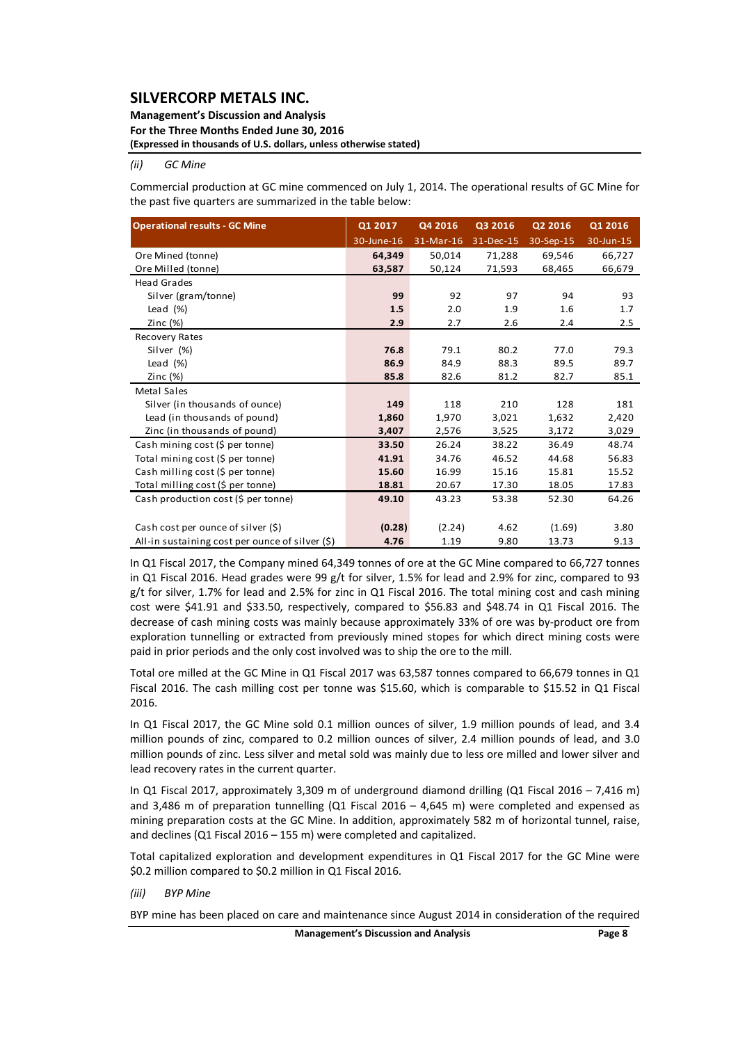#### **Management's Discussion and Analysis For the Three Months Ended June 30, 2016 (Expressed in thousands of U.S. dollars, unless otherwise stated)**

#### *(ii) GC Mine*

Commercial production at GC mine commenced on July 1, 2014. The operational results of GC Mine for the past five quarters are summarized in the table below:

| <b>Operational results - GC Mine</b>               | Q1 2017    | Q4 2016   | Q3 2016   | Q2 2016   | Q1 2016   |
|----------------------------------------------------|------------|-----------|-----------|-----------|-----------|
|                                                    | 30-June-16 | 31-Mar-16 | 31-Dec-15 | 30-Sep-15 | 30-Jun-15 |
| Ore Mined (tonne)                                  | 64,349     | 50,014    | 71,288    | 69,546    | 66,727    |
| Ore Milled (tonne)                                 | 63,587     | 50,124    | 71,593    | 68,465    | 66,679    |
| <b>Head Grades</b>                                 |            |           |           |           |           |
| Silver (gram/tonne)                                | 99         | 92        | 97        | 94        | 93        |
| Lead $(\%)$                                        | 1.5        | 2.0       | 1.9       | 1.6       | 1.7       |
| Zinc $(%)$                                         | 2.9        | 2.7       | 2.6       | 2.4       | 2.5       |
| Recovery Rates                                     |            |           |           |           |           |
| Silver (%)                                         | 76.8       | 79.1      | 80.2      | 77.0      | 79.3      |
| Lead $(\%)$                                        | 86.9       | 84.9      | 88.3      | 89.5      | 89.7      |
| Zinc $(%)$                                         | 85.8       | 82.6      | 81.2      | 82.7      | 85.1      |
| Metal Sales                                        |            |           |           |           |           |
| Silver (in thousands of ounce)                     | 149        | 118       | 210       | 128       | 181       |
| Lead (in thousands of pound)                       | 1,860      | 1,970     | 3,021     | 1,632     | 2,420     |
| Zinc (in thousands of pound)                       | 3,407      | 2,576     | 3,525     | 3,172     | 3,029     |
| Cash mining cost (\$ per tonne)                    | 33.50      | 26.24     | 38.22     | 36.49     | 48.74     |
| Total mining cost (\$ per tonne)                   | 41.91      | 34.76     | 46.52     | 44.68     | 56.83     |
| Cash milling cost (\$ per tonne)                   | 15.60      | 16.99     | 15.16     | 15.81     | 15.52     |
| Total milling cost (\$ per tonne)                  | 18.81      | 20.67     | 17.30     | 18.05     | 17.83     |
| Cash production cost (\$ per tonne)                | 49.10      | 43.23     | 53.38     | 52.30     | 64.26     |
|                                                    |            |           |           |           |           |
| Cash cost per ounce of silver (\$)                 | (0.28)     | (2.24)    | 4.62      | (1.69)    | 3.80      |
| All-in sustaining cost per ounce of silver $(\xi)$ | 4.76       | 1.19      | 9.80      | 13.73     | 9.13      |

In Q1 Fiscal 2017, the Company mined 64,349 tonnes of ore at the GC Mine compared to 66,727 tonnes in Q1 Fiscal 2016. Head grades were 99 g/t for silver, 1.5% for lead and 2.9% for zinc, compared to 93 g/t for silver, 1.7% for lead and 2.5% for zinc in Q1 Fiscal 2016. The total mining cost and cash mining cost were \$41.91 and \$33.50, respectively, compared to \$56.83 and \$48.74 in Q1 Fiscal 2016. The decrease of cash mining costs was mainly because approximately 33% of ore was by‐product ore from exploration tunnelling or extracted from previously mined stopes for which direct mining costs were paid in prior periods and the only cost involved was to ship the ore to the mill.

Total ore milled at the GC Mine in Q1 Fiscal 2017 was 63,587 tonnes compared to 66,679 tonnes in Q1 Fiscal 2016. The cash milling cost per tonne was \$15.60, which is comparable to \$15.52 in Q1 Fiscal 2016.

In Q1 Fiscal 2017, the GC Mine sold 0.1 million ounces of silver, 1.9 million pounds of lead, and 3.4 million pounds of zinc, compared to 0.2 million ounces of silver, 2.4 million pounds of lead, and 3.0 million pounds of zinc. Less silver and metal sold was mainly due to less ore milled and lower silver and lead recovery rates in the current quarter.

In Q1 Fiscal 2017, approximately 3,309 m of underground diamond drilling (Q1 Fiscal 2016 – 7,416 m) and 3,486 m of preparation tunnelling (Q1 Fiscal 2016 – 4,645 m) were completed and expensed as mining preparation costs at the GC Mine. In addition, approximately 582 m of horizontal tunnel, raise, and declines (Q1 Fiscal 2016 – 155 m) were completed and capitalized.

Total capitalized exploration and development expenditures in Q1 Fiscal 2017 for the GC Mine were \$0.2 million compared to \$0.2 million in Q1 Fiscal 2016.

*(iii) BYP Mine*

BYP mine has been placed on care and maintenance since August 2014 in consideration of the required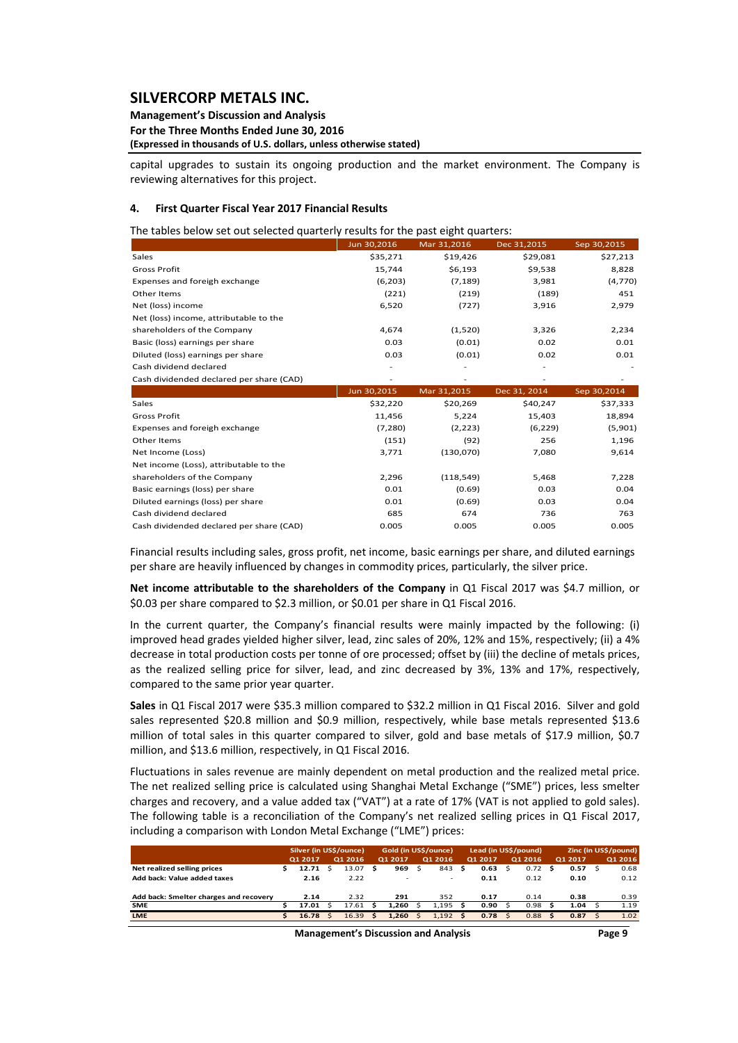#### **Management's Discussion and Analysis For the Three Months Ended June 30, 2016 (Expressed in thousands of U.S. dollars, unless otherwise stated)**

capital upgrades to sustain its ongoing production and the market environment. The Company is reviewing alternatives for this project.

#### **4. First Quarter Fiscal Year 2017 Financial Results**

The tables below set out selected quarterly results for the past eight quarters:

|                                          | Jun 30,2016 | Mar 31,2016 | Dec 31,2015  | Sep 30,2015 |
|------------------------------------------|-------------|-------------|--------------|-------------|
| Sales                                    | \$35,271    | \$19,426    | \$29,081     | \$27,213    |
| <b>Gross Profit</b>                      | 15,744      | \$6,193     | \$9,538      | 8,828       |
| Expenses and foreigh exchange            | (6, 203)    | (7, 189)    | 3,981        | (4,770)     |
| Other Items                              | (221)       | (219)       | (189)        | 451         |
| Net (loss) income                        | 6,520       | (727)       | 3,916        | 2,979       |
| Net (loss) income, attributable to the   |             |             |              |             |
| shareholders of the Company              | 4,674       | (1,520)     | 3,326        | 2,234       |
| Basic (loss) earnings per share          | 0.03        | (0.01)      | 0.02         | 0.01        |
| Diluted (loss) earnings per share        | 0.03        | (0.01)      | 0.02         | 0.01        |
| Cash dividend declared                   |             |             |              |             |
| Cash dividended declared per share (CAD) |             |             |              |             |
|                                          |             |             |              |             |
|                                          | Jun 30,2015 | Mar 31,2015 | Dec 31, 2014 | Sep 30,2014 |
| Sales                                    | \$32,220    | \$20,269    | \$40,247     | \$37,333    |
| <b>Gross Profit</b>                      | 11,456      | 5,224       | 15,403       | 18,894      |
| Expenses and foreigh exchange            | (7, 280)    | (2, 223)    | (6, 229)     | (5,901)     |
| Other Items                              | (151)       | (92)        | 256          | 1,196       |
| Net Income (Loss)                        | 3,771       | (130,070)   | 7,080        | 9,614       |
| Net income (Loss), attributable to the   |             |             |              |             |
| shareholders of the Company              | 2,296       | (118, 549)  | 5,468        | 7,228       |
| Basic earnings (loss) per share          | 0.01        | (0.69)      | 0.03         | 0.04        |
| Diluted earnings (loss) per share        | 0.01        | (0.69)      | 0.03         | 0.04        |
| Cash dividend declared                   | 685         | 674         | 736          | 763         |

Financial results including sales, gross profit, net income, basic earnings per share, and diluted earnings per share are heavily influenced by changes in commodity prices, particularly, the silver price.

**Net income attributable to the shareholders of the Company** in Q1 Fiscal 2017 was \$4.7 million, or \$0.03 per share compared to \$2.3 million, or \$0.01 per share in Q1 Fiscal 2016.

In the current quarter, the Company's financial results were mainly impacted by the following: (i) improved head grades yielded higher silver, lead, zinc sales of 20%, 12% and 15%, respectively; (ii) a 4% decrease in total production costs per tonne of ore processed; offset by (iii) the decline of metals prices, as the realized selling price for silver, lead, and zinc decreased by 3%, 13% and 17%, respectively, compared to the same prior year quarter.

**Sales** in Q1 Fiscal 2017 were \$35.3 million compared to \$32.2 million in Q1 Fiscal 2016. Silver and gold sales represented \$20.8 million and \$0.9 million, respectively, while base metals represented \$13.6 million of total sales in this quarter compared to silver, gold and base metals of \$17.9 million, \$0.7 million, and \$13.6 million, respectively, in Q1 Fiscal 2016.

Fluctuations in sales revenue are mainly dependent on metal production and the realized metal price. The net realized selling price is calculated using Shanghai Metal Exchange ("SME") prices, less smelter charges and recovery, and a value added tax ("VAT") at a rate of 17% (VAT is not applied to gold sales). The following table is a reconciliation of the Company's net realized selling prices in Q1 Fiscal 2017, including a comparison with London Metal Exchange ("LME") prices:

|                                        | Silver (in US\$/ounce) |         |  |         | Gold (in US\$/ounce) |         |              | Lead (in US\$/pound)     |   |         |              | Zinc (in US\$/pound) |     |         |      |         |
|----------------------------------------|------------------------|---------|--|---------|----------------------|---------|--------------|--------------------------|---|---------|--------------|----------------------|-----|---------|------|---------|
|                                        |                        | Q1 2017 |  | Q1 2016 |                      | Q1 2017 |              | Q1 2016                  |   | Q1 2017 |              | Q1 2016              |     | Q1 2017 |      | Q1 2016 |
| Net realized selling prices            |                        | 12.71   |  | 13.07   | s                    | 969     | Ś            | 843                      | s | 0.63    | Ŝ            | 0.72                 | s   | 0.57    |      | 0.68    |
| Add back: Value added taxes            |                        | 2.16    |  | 2.22    |                      |         |              | $\overline{\phantom{a}}$ |   | 0.11    |              | 0.12                 |     | 0.10    |      | 0.12    |
|                                        |                        |         |  |         |                      |         |              |                          |   |         |              |                      |     |         |      |         |
| Add back: Smelter charges and recovery |                        | 2.14    |  | 2.32    |                      | 291     |              | 352                      |   | 0.17    |              | 0.14                 |     | 0.38    |      | 0.39    |
| <b>SME</b>                             |                        | 17.01   |  | 17.61   |                      | 1.260   |              | 1.195                    |   | 0.90    |              | 0.98                 |     | 1.04    |      | 1.19    |
| <b>LME</b>                             |                        | 16.78   |  | 16.39   |                      | 1.260   | $\mathsf{s}$ | $1.192$ \$               |   | 0.78    | $\mathsf{S}$ | 0.88                 | - Ś | 0.87    | - \$ | 1.02    |
|                                        |                        |         |  |         |                      |         |              |                          |   |         |              |                      |     |         |      |         |

**Management's Discussion and Analysis Page 9**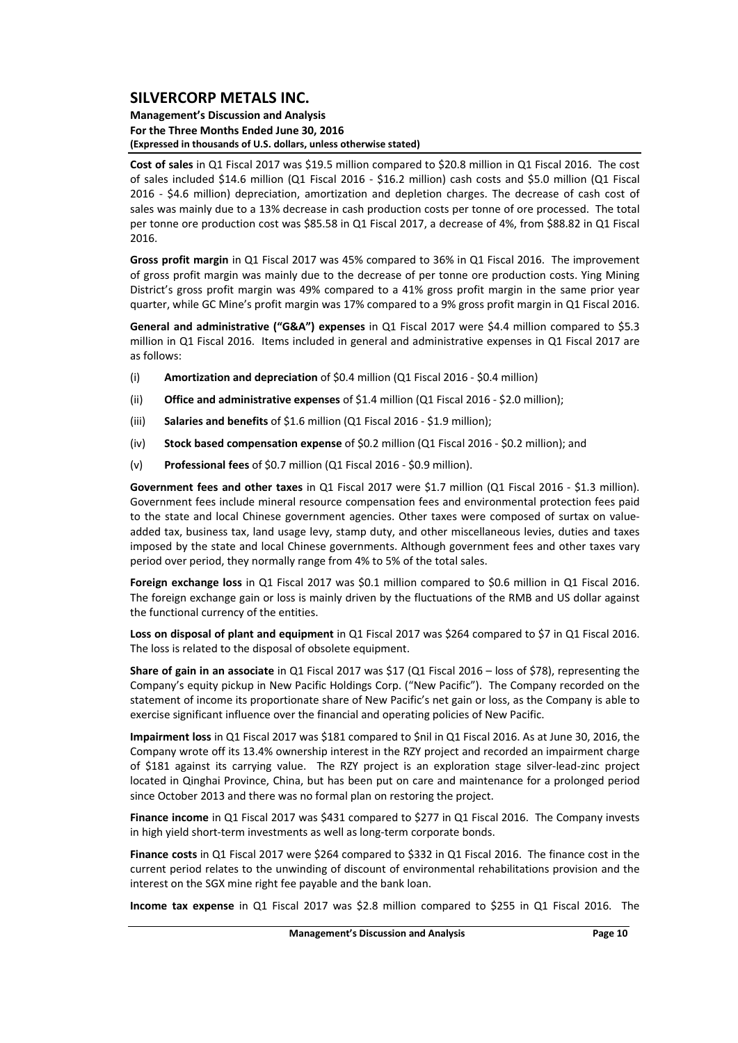#### **Management's Discussion and Analysis For the Three Months Ended June 30, 2016 (Expressed in thousands of U.S. dollars, unless otherwise stated)**

**Cost of sales** in Q1 Fiscal 2017 was \$19.5 million compared to \$20.8 million in Q1 Fiscal 2016. The cost of sales included \$14.6 million (Q1 Fiscal 2016 ‐ \$16.2 million) cash costs and \$5.0 million (Q1 Fiscal 2016 - \$4.6 million) depreciation, amortization and depletion charges. The decrease of cash cost of sales was mainly due to a 13% decrease in cash production costs per tonne of ore processed. The total per tonne ore production cost was \$85.58 in Q1 Fiscal 2017, a decrease of 4%, from \$88.82 in Q1 Fiscal 2016.

**Gross profit margin** in Q1 Fiscal 2017 was 45% compared to 36% in Q1 Fiscal 2016. The improvement of gross profit margin was mainly due to the decrease of per tonne ore production costs. Ying Mining District's gross profit margin was 49% compared to a 41% gross profit margin in the same prior year quarter, while GC Mine's profit margin was 17% compared to a 9% gross profit margin in Q1 Fiscal 2016.

**General and administrative ("G&A") expenses** in Q1 Fiscal 2017 were \$4.4 million compared to \$5.3 million in Q1 Fiscal 2016. Items included in general and administrative expenses in Q1 Fiscal 2017 are as follows:

- (i) **Amortization and depreciation** of \$0.4 million (Q1 Fiscal 2016 ‐ \$0.4 million)
- (ii) **Office and administrative expenses** of \$1.4 million (Q1 Fiscal 2016 ‐ \$2.0 million);
- (iii) **Salaries and benefits** of \$1.6 million (Q1 Fiscal 2016 ‐ \$1.9 million);
- (iv) **Stock based compensation expense** of \$0.2 million (Q1 Fiscal 2016 ‐ \$0.2 million); and
- (v) **Professional fees** of \$0.7 million (Q1 Fiscal 2016 ‐ \$0.9 million).

**Government fees and other taxes** in Q1 Fiscal 2017 were \$1.7 million (Q1 Fiscal 2016 ‐ \$1.3 million). Government fees include mineral resource compensation fees and environmental protection fees paid to the state and local Chinese government agencies. Other taxes were composed of surtax on value‐ added tax, business tax, land usage levy, stamp duty, and other miscellaneous levies, duties and taxes imposed by the state and local Chinese governments. Although government fees and other taxes vary period over period, they normally range from 4% to 5% of the total sales.

**Foreign exchange loss** in Q1 Fiscal 2017 was \$0.1 million compared to \$0.6 million in Q1 Fiscal 2016. The foreign exchange gain or loss is mainly driven by the fluctuations of the RMB and US dollar against the functional currency of the entities.

**Loss on disposal of plant and equipment** in Q1 Fiscal 2017 was \$264 compared to \$7 in Q1 Fiscal 2016. The loss is related to the disposal of obsolete equipment.

**Share of gain in an associate** in Q1 Fiscal 2017 was \$17 (Q1 Fiscal 2016 – loss of \$78), representing the Company's equity pickup in New Pacific Holdings Corp. ("New Pacific"). The Company recorded on the statement of income its proportionate share of New Pacific's net gain or loss, as the Company is able to exercise significant influence over the financial and operating policies of New Pacific.

**Impairment loss** in Q1 Fiscal 2017 was \$181 compared to \$nil in Q1 Fiscal 2016. As at June 30, 2016, the Company wrote off its 13.4% ownership interest in the RZY project and recorded an impairment charge of \$181 against its carrying value. The RZY project is an exploration stage silver-lead-zinc project located in Qinghai Province, China, but has been put on care and maintenance for a prolonged period since October 2013 and there was no formal plan on restoring the project.

**Finance income** in Q1 Fiscal 2017 was \$431 compared to \$277 in Q1 Fiscal 2016. The Company invests in high yield short-term investments as well as long-term corporate bonds.

**Finance costs** in Q1 Fiscal 2017 were \$264 compared to \$332 in Q1 Fiscal 2016. The finance cost in the current period relates to the unwinding of discount of environmental rehabilitations provision and the interest on the SGX mine right fee payable and the bank loan.

**Income tax expense** in Q1 Fiscal 2017 was \$2.8 million compared to \$255 in Q1 Fiscal 2016. The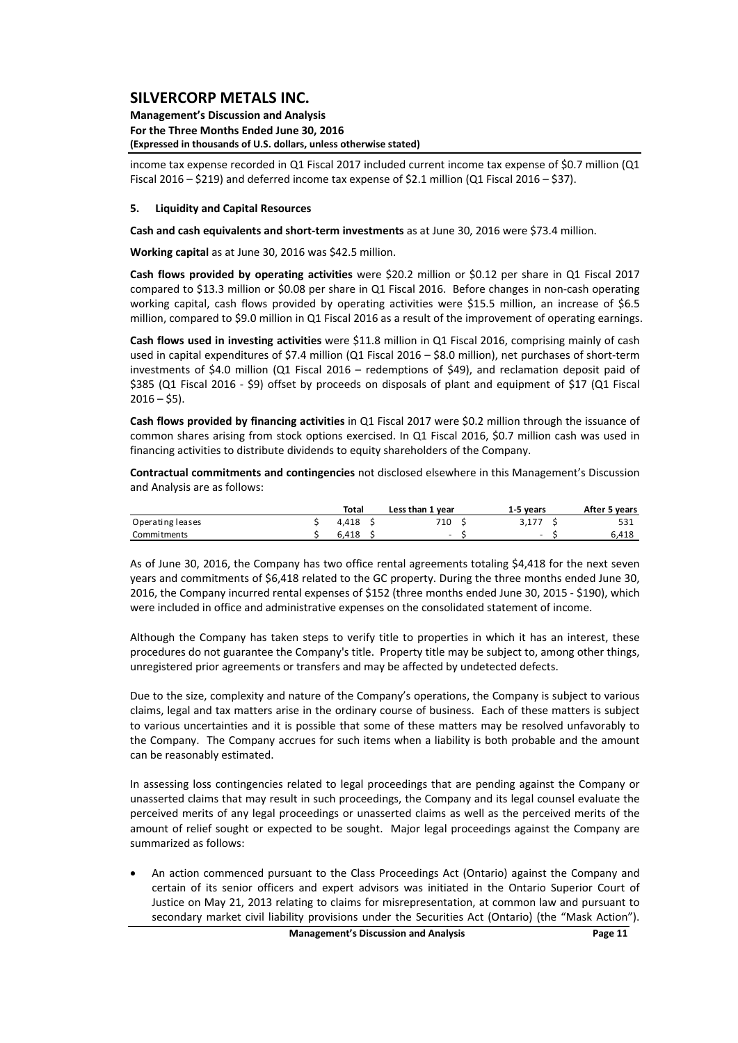**Management's Discussion and Analysis For the Three Months Ended June 30, 2016 (Expressed in thousands of U.S. dollars, unless otherwise stated)**

income tax expense recorded in Q1 Fiscal 2017 included current income tax expense of \$0.7 million (Q1 Fiscal 2016 – \$219) and deferred income tax expense of \$2.1 million (Q1 Fiscal 2016 – \$37).

#### **5. Liquidity and Capital Resources**

**Cash and cash equivalents and short‐term investments** as at June 30, 2016 were \$73.4 million.

**Working capital** as at June 30, 2016 was \$42.5 million.

**Cash flows provided by operating activities** were \$20.2 million or \$0.12 per share in Q1 Fiscal 2017 compared to \$13.3 million or \$0.08 per share in Q1 Fiscal 2016. Before changes in non-cash operating working capital, cash flows provided by operating activities were \$15.5 million, an increase of \$6.5 million, compared to \$9.0 million in Q1 Fiscal 2016 as a result of the improvement of operating earnings.

**Cash flows used in investing activities** were \$11.8 million in Q1 Fiscal 2016, comprising mainly of cash used in capital expenditures of \$7.4 million (Q1 Fiscal 2016 – \$8.0 million), net purchases of short-term investments of \$4.0 million (Q1 Fiscal 2016 – redemptions of \$49), and reclamation deposit paid of \$385 (Q1 Fiscal 2016 ‐ \$9) offset by proceeds on disposals of plant and equipment of \$17 (Q1 Fiscal  $2016 - $5$ ).

**Cash flows provided by financing activities** in Q1 Fiscal 2017 were \$0.2 million through the issuance of common shares arising from stock options exercised. In Q1 Fiscal 2016, \$0.7 million cash was used in financing activities to distribute dividends to equity shareholders of the Company.

**Contractual commitments and contingencies** not disclosed elsewhere in this Management's Discussion and Analysis are as follows:

|                  | Total | Less than 1 year | 1-5 vears                | After 5 years |
|------------------|-------|------------------|--------------------------|---------------|
| Operating leases | 4.418 | 710              | 3.177                    | 531           |
| Commitments      | 6.418 | $\sim$           | $\overline{\phantom{0}}$ | 6.418         |

As of June 30, 2016, the Company has two office rental agreements totaling \$4,418 for the next seven years and commitments of \$6,418 related to the GC property. During the three months ended June 30, 2016, the Company incurred rental expenses of \$152 (three months ended June 30, 2015 ‐ \$190), which were included in office and administrative expenses on the consolidated statement of income.

Although the Company has taken steps to verify title to properties in which it has an interest, these procedures do not guarantee the Company's title. Property title may be subject to, among other things, unregistered prior agreements or transfers and may be affected by undetected defects.

Due to the size, complexity and nature of the Company's operations, the Company is subject to various claims, legal and tax matters arise in the ordinary course of business. Each of these matters is subject to various uncertainties and it is possible that some of these matters may be resolved unfavorably to the Company. The Company accrues for such items when a liability is both probable and the amount can be reasonably estimated.

In assessing loss contingencies related to legal proceedings that are pending against the Company or unasserted claims that may result in such proceedings, the Company and its legal counsel evaluate the perceived merits of any legal proceedings or unasserted claims as well as the perceived merits of the amount of relief sought or expected to be sought. Major legal proceedings against the Company are summarized as follows:

 An action commenced pursuant to the Class Proceedings Act (Ontario) against the Company and certain of its senior officers and expert advisors was initiated in the Ontario Superior Court of Justice on May 21, 2013 relating to claims for misrepresentation, at common law and pursuant to secondary market civil liability provisions under the Securities Act (Ontario) (the "Mask Action").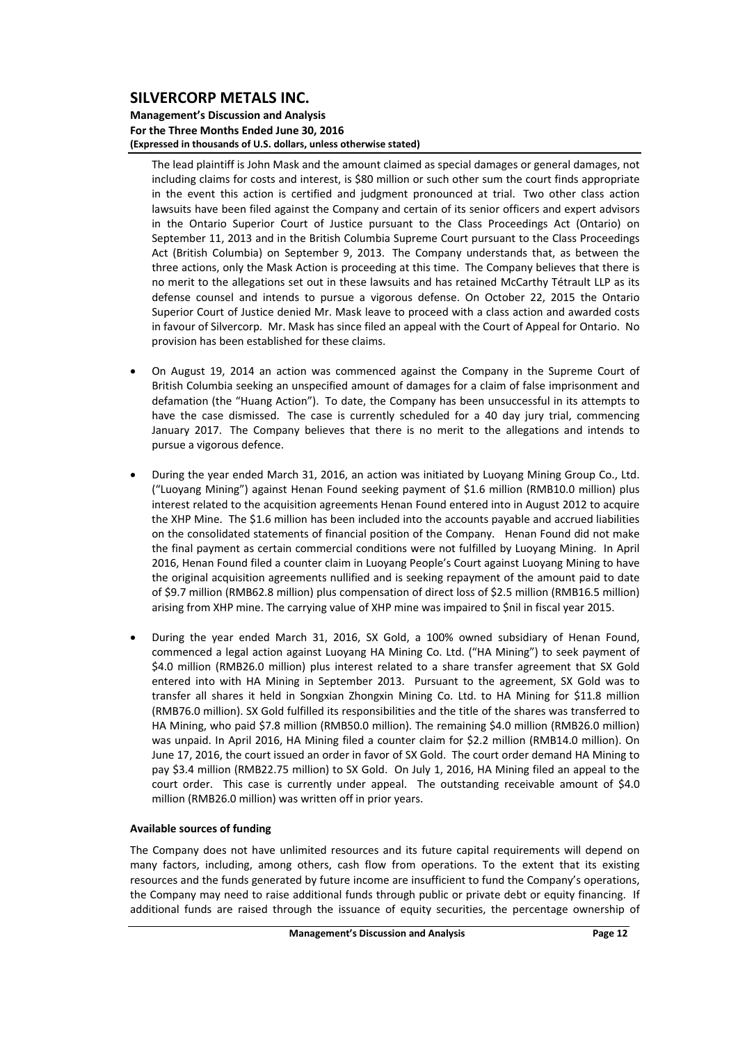#### **Management's Discussion and Analysis For the Three Months Ended June 30, 2016 (Expressed in thousands of U.S. dollars, unless otherwise stated)**

The lead plaintiff is John Mask and the amount claimed as special damages or general damages, not including claims for costs and interest, is \$80 million or such other sum the court finds appropriate in the event this action is certified and judgment pronounced at trial. Two other class action lawsuits have been filed against the Company and certain of its senior officers and expert advisors in the Ontario Superior Court of Justice pursuant to the Class Proceedings Act (Ontario) on September 11, 2013 and in the British Columbia Supreme Court pursuant to the Class Proceedings Act (British Columbia) on September 9, 2013. The Company understands that, as between the three actions, only the Mask Action is proceeding at this time. The Company believes that there is no merit to the allegations set out in these lawsuits and has retained McCarthy Tétrault LLP as its defense counsel and intends to pursue a vigorous defense. On October 22, 2015 the Ontario Superior Court of Justice denied Mr. Mask leave to proceed with a class action and awarded costs in favour of Silvercorp. Mr. Mask has since filed an appeal with the Court of Appeal for Ontario. No provision has been established for these claims.

- On August 19, 2014 an action was commenced against the Company in the Supreme Court of British Columbia seeking an unspecified amount of damages for a claim of false imprisonment and defamation (the "Huang Action"). To date, the Company has been unsuccessful in its attempts to have the case dismissed. The case is currently scheduled for a 40 day jury trial, commencing January 2017. The Company believes that there is no merit to the allegations and intends to pursue a vigorous defence.
- During the year ended March 31, 2016, an action was initiated by Luoyang Mining Group Co., Ltd. ("Luoyang Mining") against Henan Found seeking payment of \$1.6 million (RMB10.0 million) plus interest related to the acquisition agreements Henan Found entered into in August 2012 to acquire the XHP Mine. The \$1.6 million has been included into the accounts payable and accrued liabilities on the consolidated statements of financial position of the Company. Henan Found did not make the final payment as certain commercial conditions were not fulfilled by Luoyang Mining. In April 2016, Henan Found filed a counter claim in Luoyang People's Court against Luoyang Mining to have the original acquisition agreements nullified and is seeking repayment of the amount paid to date of \$9.7 million (RMB62.8 million) plus compensation of direct loss of \$2.5 million (RMB16.5 million) arising from XHP mine. The carrying value of XHP mine was impaired to \$nil in fiscal year 2015.
- During the year ended March 31, 2016, SX Gold, a 100% owned subsidiary of Henan Found, commenced a legal action against Luoyang HA Mining Co. Ltd. ("HA Mining") to seek payment of \$4.0 million (RMB26.0 million) plus interest related to a share transfer agreement that SX Gold entered into with HA Mining in September 2013. Pursuant to the agreement, SX Gold was to transfer all shares it held in Songxian Zhongxin Mining Co. Ltd. to HA Mining for \$11.8 million (RMB76.0 million). SX Gold fulfilled its responsibilities and the title of the shares was transferred to HA Mining, who paid \$7.8 million (RMB50.0 million). The remaining \$4.0 million (RMB26.0 million) was unpaid. In April 2016, HA Mining filed a counter claim for \$2.2 million (RMB14.0 million). On June 17, 2016, the court issued an order in favor of SX Gold. The court order demand HA Mining to pay \$3.4 million (RMB22.75 million) to SX Gold. On July 1, 2016, HA Mining filed an appeal to the court order. This case is currently under appeal. The outstanding receivable amount of \$4.0 million (RMB26.0 million) was written off in prior years.

#### **Available sources of funding**

The Company does not have unlimited resources and its future capital requirements will depend on many factors, including, among others, cash flow from operations. To the extent that its existing resources and the funds generated by future income are insufficient to fund the Company's operations, the Company may need to raise additional funds through public or private debt or equity financing. If additional funds are raised through the issuance of equity securities, the percentage ownership of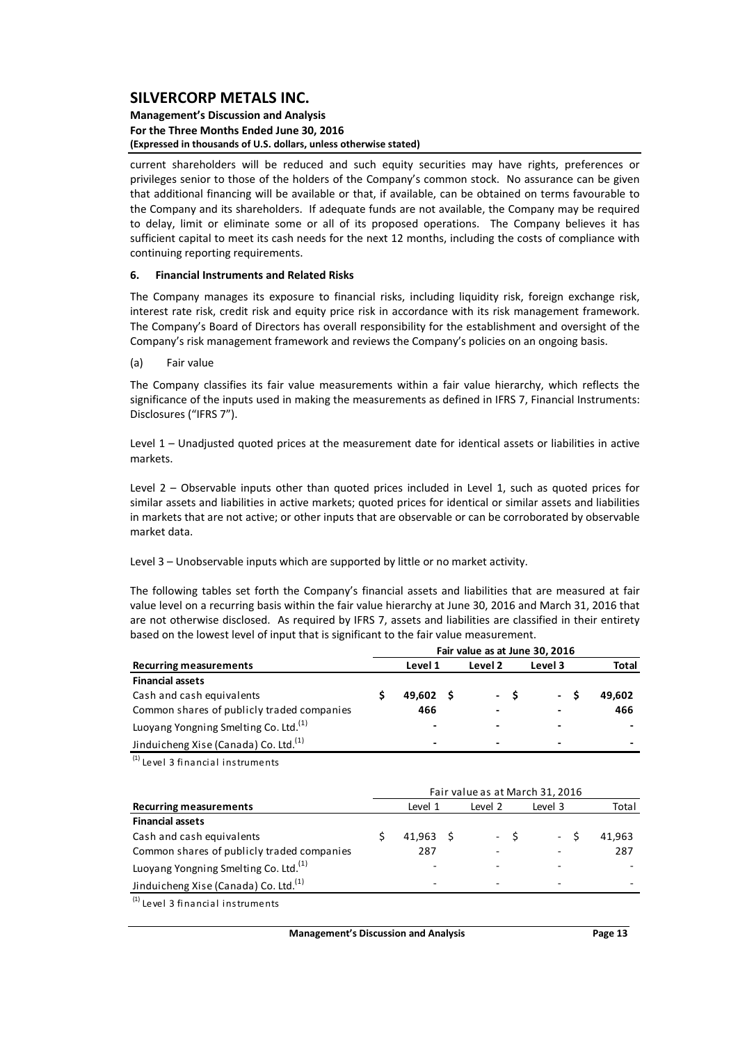#### **Management's Discussion and Analysis For the Three Months Ended June 30, 2016 (Expressed in thousands of U.S. dollars, unless otherwise stated)**

current shareholders will be reduced and such equity securities may have rights, preferences or privileges senior to those of the holders of the Company's common stock. No assurance can be given that additional financing will be available or that, if available, can be obtained on terms favourable to the Company and its shareholders. If adequate funds are not available, the Company may be required to delay, limit or eliminate some or all of its proposed operations. The Company believes it has sufficient capital to meet its cash needs for the next 12 months, including the costs of compliance with continuing reporting requirements.

#### **6. Financial Instruments and Related Risks**

The Company manages its exposure to financial risks, including liquidity risk, foreign exchange risk, interest rate risk, credit risk and equity price risk in accordance with its risk management framework. The Company's Board of Directors has overall responsibility for the establishment and oversight of the Company's risk management framework and reviews the Company's policies on an ongoing basis.

(a) Fair value

The Company classifies its fair value measurements within a fair value hierarchy, which reflects the significance of the inputs used in making the measurements as defined in IFRS 7, Financial Instruments: Disclosures ("IFRS 7").

Level 1 – Unadjusted quoted prices at the measurement date for identical assets or liabilities in active markets.

Level 2 – Observable inputs other than quoted prices included in Level 1, such as quoted prices for similar assets and liabilities in active markets; quoted prices for identical or similar assets and liabilities in markets that are not active; or other inputs that are observable or can be corroborated by observable market data.

Level 3 – Unobservable inputs which are supported by little or no market activity.

The following tables set forth the Company's financial assets and liabilities that are measured at fair value level on a recurring basis within the fair value hierarchy at June 30, 2016 and March 31, 2016 that are not otherwise disclosed. As required by IFRS 7, assets and liabilities are classified in their entirety based on the lowest level of input that is significant to the fair value measurement.

|                                                   | Fair value as at June 30, 2016 |                          |         |  |         |                          |        |  |  |  |  |  |  |
|---------------------------------------------------|--------------------------------|--------------------------|---------|--|---------|--------------------------|--------|--|--|--|--|--|--|
| <b>Recurring measurements</b>                     |                                | Level 1                  | Level 2 |  | Level 3 | Total                    |        |  |  |  |  |  |  |
| <b>Financial assets</b>                           |                                |                          |         |  |         |                          |        |  |  |  |  |  |  |
| Cash and cash equivalents                         |                                | $49.602 \quad S$         |         |  | - \$    | - S                      | 49.602 |  |  |  |  |  |  |
| Common shares of publicly traded companies        |                                | 466                      |         |  |         | $\overline{\phantom{0}}$ | 466    |  |  |  |  |  |  |
| Luoyang Yongning Smelting Co. Ltd. <sup>(1)</sup> |                                | $\blacksquare$           |         |  |         | -                        | -      |  |  |  |  |  |  |
| Jinduicheng Xise (Canada) Co. Ltd. <sup>(1)</sup> |                                | $\overline{\phantom{0}}$ |         |  |         | -                        | -      |  |  |  |  |  |  |

 $<sup>(1)</sup>$  Level 3 financial instruments</sup>

|                                                   | Fair value as at March 31, 2016 |                  |  |         |      |         |        |  |  |  |  |  |  |
|---------------------------------------------------|---------------------------------|------------------|--|---------|------|---------|--------|--|--|--|--|--|--|
| <b>Recurring measurements</b>                     |                                 | Level 1          |  | Level 2 |      | Level 3 | Total  |  |  |  |  |  |  |
| <b>Financial assets</b>                           |                                 |                  |  |         |      |         |        |  |  |  |  |  |  |
| Cash and cash equivalents                         |                                 | $41.963 \quad S$ |  |         | $-5$ | - \$    | 41.963 |  |  |  |  |  |  |
| Common shares of publicly traded companies        |                                 | 287              |  |         |      |         | 287    |  |  |  |  |  |  |
| Luoyang Yongning Smelting Co. Ltd. <sup>(1)</sup> |                                 |                  |  |         |      |         |        |  |  |  |  |  |  |
| Jinduicheng Xise (Canada) Co. Ltd. <sup>(1)</sup> |                                 | -                |  |         |      | -       |        |  |  |  |  |  |  |
| $(1)$ Level 3 financial instruments               |                                 |                  |  |         |      |         |        |  |  |  |  |  |  |

**Management's Discussion and Analysis Page 13**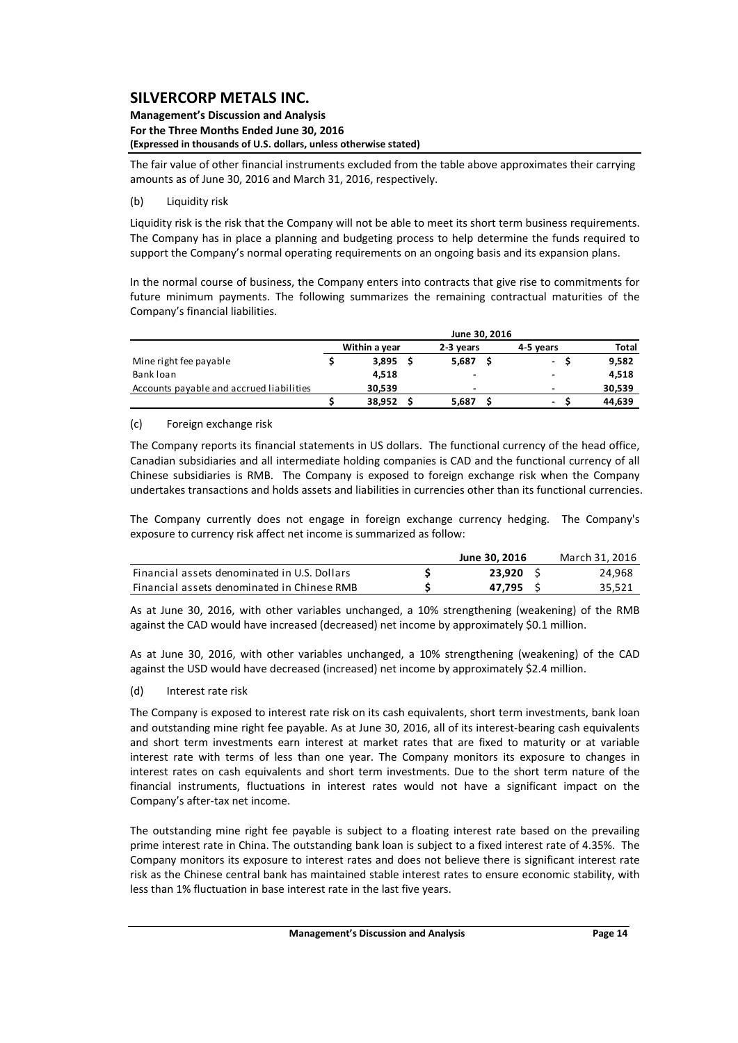#### **Management's Discussion and Analysis For the Three Months Ended June 30, 2016 (Expressed in thousands of U.S. dollars, unless otherwise stated)**

The fair value of other financial instruments excluded from the table above approximates their carrying amounts as of June 30, 2016 and March 31, 2016, respectively.

### (b) Liquidity risk

Liquidity risk is the risk that the Company will not be able to meet its short term business requirements. The Company has in place a planning and budgeting process to help determine the funds required to support the Company's normal operating requirements on an ongoing basis and its expansion plans.

In the normal course of business, the Company enters into contracts that give rise to commitments for future minimum payments. The following summarizes the remaining contractual maturities of the Company's financial liabilities.

|                                          | June 30, 2016 |               |  |                |  |                          |  |        |  |  |
|------------------------------------------|---------------|---------------|--|----------------|--|--------------------------|--|--------|--|--|
|                                          |               | Within a year |  | 2-3 years      |  | 4-5 vears                |  | Total  |  |  |
| Mine right fee payable                   |               | 3,895         |  | 5.687          |  | $\overline{\phantom{0}}$ |  | 9,582  |  |  |
| Bank loan                                |               | 4.518         |  | $\blacksquare$ |  | $\overline{\phantom{0}}$ |  | 4,518  |  |  |
| Accounts payable and accrued liabilities |               | 30.539        |  | $\blacksquare$ |  | $\overline{\phantom{0}}$ |  | 30,539 |  |  |
|                                          |               | 38.952        |  | 5.687          |  | $\blacksquare$           |  | 44,639 |  |  |

### (c) Foreign exchange risk

The Company reports its financial statements in US dollars. The functional currency of the head office, Canadian subsidiaries and all intermediate holding companies is CAD and the functional currency of all Chinese subsidiaries is RMB. The Company is exposed to foreign exchange risk when the Company undertakes transactions and holds assets and liabilities in currencies other than its functional currencies.

The Company currently does not engage in foreign exchange currency hedging. The Company's exposure to currency risk affect net income is summarized as follow:

|                                              | June 30, 2016 | March 31. 2016 |
|----------------------------------------------|---------------|----------------|
| Financial assets denominated in U.S. Dollars | 23.920        | 24.968         |
| Financial assets denominated in Chinese RMB  | 47.795        | 35.521         |

As at June 30, 2016, with other variables unchanged, a 10% strengthening (weakening) of the RMB against the CAD would have increased (decreased) net income by approximately \$0.1 million.

As at June 30, 2016, with other variables unchanged, a 10% strengthening (weakening) of the CAD against the USD would have decreased (increased) net income by approximately \$2.4 million.

(d) Interest rate risk

The Company is exposed to interest rate risk on its cash equivalents, short term investments, bank loan and outstanding mine right fee payable. As at June 30, 2016, all of its interest-bearing cash equivalents and short term investments earn interest at market rates that are fixed to maturity or at variable interest rate with terms of less than one year. The Company monitors its exposure to changes in interest rates on cash equivalents and short term investments. Due to the short term nature of the financial instruments, fluctuations in interest rates would not have a significant impact on the Company's after‐tax net income.

The outstanding mine right fee payable is subject to a floating interest rate based on the prevailing prime interest rate in China. The outstanding bank loan is subject to a fixed interest rate of 4.35%. The Company monitors its exposure to interest rates and does not believe there is significant interest rate risk as the Chinese central bank has maintained stable interest rates to ensure economic stability, with less than 1% fluctuation in base interest rate in the last five years.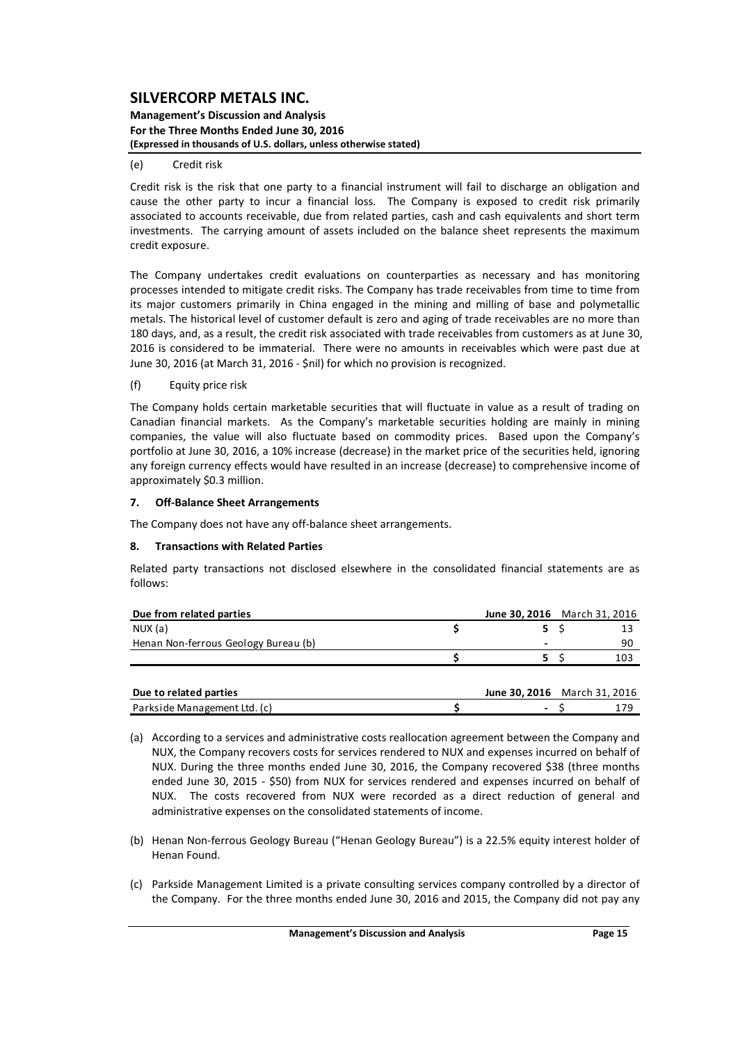#### **Management's Discussion and Analysis For the Three Months Ended June 30, 2016 (Expressed in thousands of U.S. dollars, unless otherwise stated)**

#### (e) Credit risk

Credit risk is the risk that one party to a financial instrument will fail to discharge an obligation and cause the other party to incur a financial loss. The Company is exposed to credit risk primarily associated to accounts receivable, due from related parties, cash and cash equivalents and short term investments. The carrying amount of assets included on the balance sheet represents the maximum credit exposure.

The Company undertakes credit evaluations on counterparties as necessary and has monitoring processes intended to mitigate credit risks. The Company has trade receivables from time to time from its major customers primarily in China engaged in the mining and milling of base and polymetallic metals. The historical level of customer default is zero and aging of trade receivables are no more than 180 days, and, as a result, the credit risk associated with trade receivables from customers as at June 30, 2016 is considered to be immaterial. There were no amounts in receivables which were past due at June 30, 2016 (at March 31, 2016 ‐ \$nil) for which no provision is recognized.

#### (f) Equity price risk

The Company holds certain marketable securities that will fluctuate in value as a result of trading on Canadian financial markets. As the Company's marketable securities holding are mainly in mining companies, the value will also fluctuate based on commodity prices. Based upon the Company's portfolio at June 30, 2016, a 10% increase (decrease) in the market price of the securities held, ignoring any foreign currency effects would have resulted in an increase (decrease) to comprehensive income of approximately \$0.3 million.

#### **7. Off‐Balance Sheet Arrangements**

The Company does not have any off‐balance sheet arrangements.

#### **8. Transactions with Related Parties**

Related party transactions not disclosed elsewhere in the consolidated financial statements are as follows:

| Due from related parties             | <b>June 30, 2016</b> March 31, 2016 |     |
|--------------------------------------|-------------------------------------|-----|
| NUX (a)                              |                                     |     |
| Henan Non-ferrous Geology Bureau (b) | -                                   | 90  |
|                                      |                                     | 10. |
|                                      |                                     |     |

| Due to related parties       | <b>June 30.2016</b> March 31, 2016 |  |
|------------------------------|------------------------------------|--|
| Parkside Management Ltd. (c) |                                    |  |

- (a) According to a services and administrative costs reallocation agreement between the Company and NUX, the Company recovers costs for services rendered to NUX and expenses incurred on behalf of NUX. During the three months ended June 30, 2016, the Company recovered \$38 (three months ended June 30, 2015 - \$50) from NUX for services rendered and expenses incurred on behalf of NUX. The costs recovered from NUX were recorded as a direct reduction of general and administrative expenses on the consolidated statements of income.
- (b) Henan Non‐ferrous Geology Bureau ("Henan Geology Bureau") is a 22.5% equity interest holder of Henan Found.
- (c) Parkside Management Limited is a private consulting services company controlled by a director of the Company. For the three months ended June 30, 2016 and 2015, the Company did not pay any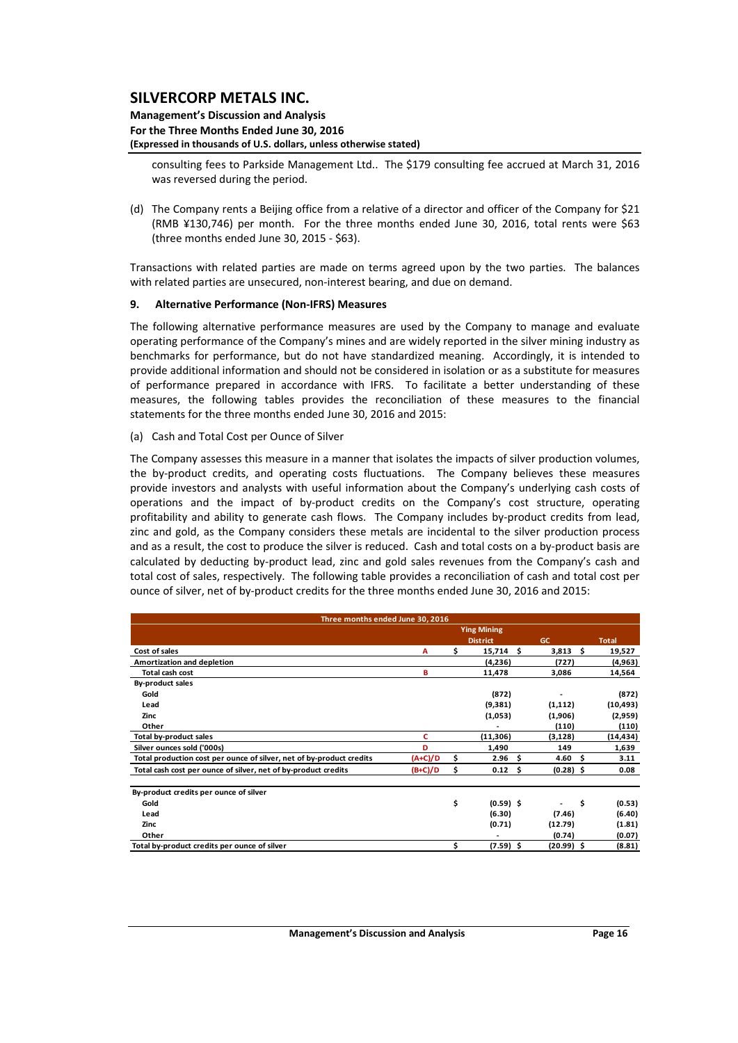#### **Management's Discussion and Analysis For the Three Months Ended June 30, 2016 (Expressed in thousands of U.S. dollars, unless otherwise stated)**

consulting fees to Parkside Management Ltd.. The \$179 consulting fee accrued at March 31, 2016 was reversed during the period.

(d) The Company rents a Beijing office from a relative of a director and officer of the Company for \$21 (RMB ¥130,746) per month. For the three months ended June 30, 2016, total rents were \$63 (three months ended June 30, 2015 ‐ \$63).

Transactions with related parties are made on terms agreed upon by the two parties. The balances with related parties are unsecured, non-interest bearing, and due on demand.

#### **9. Alternative Performance (Non‐IFRS) Measures**

The following alternative performance measures are used by the Company to manage and evaluate operating performance of the Company's mines and are widely reported in the silver mining industry as benchmarks for performance, but do not have standardized meaning. Accordingly, it is intended to provide additional information and should not be considered in isolation or as a substitute for measures of performance prepared in accordance with IFRS. To facilitate a better understanding of these measures, the following tables provides the reconciliation of these measures to the financial statements for the three months ended June 30, 2016 and 2015:

#### (a) Cash and Total Cost per Ounce of Silver

The Company assesses this measure in a manner that isolates the impacts of silver production volumes, the by-product credits, and operating costs fluctuations. The Company believes these measures provide investors and analysts with useful information about the Company's underlying cash costs of operations and the impact of by‐product credits on the Company's cost structure, operating profitability and ability to generate cash flows. The Company includes by-product credits from lead, zinc and gold, as the Company considers these metals are incidental to the silver production process and as a result, the cost to produce the silver is reduced. Cash and total costs on a by-product basis are calculated by deducting by‐product lead, zinc and gold sales revenues from the Company's cash and total cost of sales, respectively. The following table provides a reconciliation of cash and total cost per ounce of silver, net of by‐product credits for the three months ended June 30, 2016 and 2015:

| Three months ended June 30, 2016                                     |           |    |                    |     |              |    |              |
|----------------------------------------------------------------------|-----------|----|--------------------|-----|--------------|----|--------------|
|                                                                      |           |    | <b>Ying Mining</b> |     |              |    |              |
|                                                                      |           |    | <b>District</b>    |     | GC.          |    | <b>Total</b> |
| Cost of sales                                                        | A         | Ś. | 15,714             | Ŝ   | 3,813        | Ŝ. | 19,527       |
| Amortization and depletion                                           |           |    | (4,236)            |     | (727)        |    | (4,963)      |
| <b>Total cash cost</b>                                               | в         |    | 11,478             |     | 3,086        |    | 14,564       |
| <b>By-product sales</b>                                              |           |    |                    |     |              |    |              |
| Gold                                                                 |           |    | (872)              |     |              |    | (872)        |
| Lead                                                                 |           |    | (9,381)            |     | (1, 112)     |    | (10, 493)    |
| Zinc                                                                 |           |    | (1,053)            |     | (1,906)      |    | (2,959)      |
| Other                                                                |           |    |                    |     | (110)        |    | (110)        |
| <b>Total by-product sales</b>                                        | c         |    | (11,306)           |     | (3, 128)     |    | (14, 434)    |
| Silver ounces sold ('000s)                                           | D         |    | 1,490              |     | 149          |    | 1,639        |
| Total production cost per ounce of silver, net of by-product credits | $(A+C)/D$ | \$ | 2.96               | \$. | 4.60         | Ŝ. | 3.11         |
| Total cash cost per ounce of silver, net of by-product credits       | (B+C)/D   | \$ | 0.12               | Ŝ   | $(0.28)$ \$  |    | 0.08         |
| By-product credits per ounce of silver                               |           |    |                    |     |              |    |              |
| Gold                                                                 |           | \$ | $(0.59)$ \$        |     |              | \$ | (0.53)       |
| Lead                                                                 |           |    | (6.30)             |     | (7.46)       |    | (6.40)       |
| Zinc                                                                 |           |    | (0.71)             |     | (12.79)      |    | (1.81)       |
| Other                                                                |           |    |                    |     | (0.74)       |    | (0.07)       |
| Total by-product credits per ounce of silver                         |           | \$ | $(7.59)$ \$        |     | $(20.99)$ \$ |    | (8.81)       |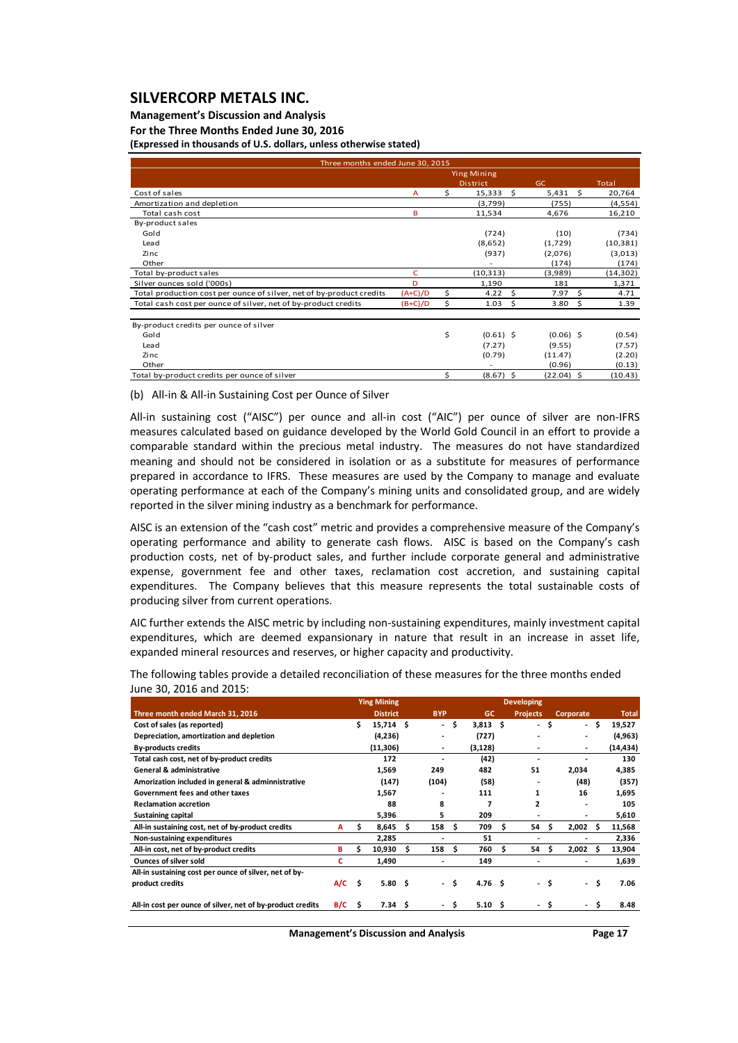### **Management's Discussion and Analysis**

**For the Three Months Ended June 30, 2016**

**(Expressed in thousands of U.S. dollars, unless otherwise stated)**

| Three months ended June 30, 2015                                     |              |    |                    |                  |      |           |
|----------------------------------------------------------------------|--------------|----|--------------------|------------------|------|-----------|
|                                                                      |              |    | <b>Ying Mining</b> |                  |      |           |
|                                                                      |              |    | <b>District</b>    | GC               |      | Total     |
| Cost of sales                                                        | $\mathsf{A}$ | \$ | 15,333             | -Ś<br>$5,431$ \$ |      | 20,764    |
| Amortization and depletion                                           |              |    | (3,799)            | (755)            |      | (4, 554)  |
| Total cash cost                                                      | B            |    | 11,534             | 4,676            |      | 16,210    |
| By-product sales                                                     |              |    |                    |                  |      |           |
| Gold                                                                 |              |    | (724)              | (10)             |      | (734)     |
| Lead                                                                 |              |    | (8,652)            | (1,729)          |      | (10, 381) |
| Zinc                                                                 |              |    | (937)              | (2,076)          |      | (3,013)   |
| Other                                                                |              |    | ٠                  | (174)            |      | (174)     |
| Total by-product sales                                               | c            |    | (10, 313)          | (3,989)          |      | (14, 302) |
| Silver ounces sold ('000s)                                           | D            |    | 1,190              | 181              |      | 1,371     |
| Total production cost per ounce of silver, net of by-product credits | $(A+C)/D$    | \$ | 4.22               | Ś<br>7.97        | Ś.   | 4.71      |
| Total cash cost per ounce of silver, net of by-product credits       | $(B+C)/D$    | \$ | 1.03               | \$<br>3.80       | - \$ | 1.39      |
| By-product credits per ounce of silver                               |              |    |                    |                  |      |           |
| Gold                                                                 |              | \$ | $(0.61)$ \$        | $(0.06)$ \$      |      | (0.54)    |
| Lead                                                                 |              |    | (7.27)             | (9.55)           |      | (7.57)    |
| Zinc                                                                 |              |    | (0.79)             | (11.47)          |      | (2.20)    |
| Other                                                                |              |    |                    | (0.96)           |      | (0.13)    |
| Total by-product credits per ounce of silver                         |              | \$ | $(8.67)$ \$        | $(22.04)$ \$     |      | (10.43)   |

(b) All‐in & All‐in Sustaining Cost per Ounce of Silver

All-in sustaining cost ("AISC") per ounce and all-in cost ("AIC") per ounce of silver are non-IFRS measures calculated based on guidance developed by the World Gold Council in an effort to provide a comparable standard within the precious metal industry. The measures do not have standardized meaning and should not be considered in isolation or as a substitute for measures of performance prepared in accordance to IFRS. These measures are used by the Company to manage and evaluate operating performance at each of the Company's mining units and consolidated group, and are widely reported in the silver mining industry as a benchmark for performance.

AISC is an extension of the "cash cost" metric and provides a comprehensive measure of the Company's operating performance and ability to generate cash flows. AISC is based on the Company's cash production costs, net of by-product sales, and further include corporate general and administrative expense, government fee and other taxes, reclamation cost accretion, and sustaining capital expenditures. The Company believes that this measure represents the total sustainable costs of producing silver from current operations.

AIC further extends the AISC metric by including non‐sustaining expenditures, mainly investment capital expenditures, which are deemed expansionary in nature that result in an increase in asset life, expanded mineral resources and reserves, or higher capacity and productivity.

|                                                            |     |    | <b>Ying Mining</b> |    |            |      |                   |    | <b>Developing</b> |      |                  |     |           |
|------------------------------------------------------------|-----|----|--------------------|----|------------|------|-------------------|----|-------------------|------|------------------|-----|-----------|
| Three month ended March 31, 2016                           |     |    | <b>District</b>    |    | <b>BYP</b> |      | GC                |    | <b>Projects</b>   |      | <b>Corporate</b> |     | Total,    |
| Cost of sales (as reported)                                |     | \$ | $15,714$ \$        |    | $\sim$     | \$.  | $3,813$ \$        |    | $\sim$            | \$   | - \$             |     | 19,527    |
| Depreciation, amortization and depletion                   |     |    | (4,236)            |    |            |      | (727)             |    |                   |      |                  |     | (4,963)   |
| <b>By-products credits</b>                                 |     |    | (11,306)           |    | ٠          |      | (3, 128)          |    |                   |      |                  |     | (14, 434) |
| Total cash cost, net of by-product credits                 |     |    | 172                |    |            |      | (42)              |    |                   |      |                  |     | 130       |
| <b>General &amp; administrative</b>                        |     |    | 1,569              |    | 249        |      | 482               |    | 51                |      | 2,034            |     | 4,385     |
| Amorization included in general & adminnistrative          |     |    | (147)              |    | (104)      |      | (58)              |    |                   |      | (48)             |     | (357)     |
| Government fees and other taxes                            |     |    | 1,567              |    |            |      | 111               |    | 1                 |      | 16               |     | 1,695     |
| <b>Reclamation accretion</b>                               |     |    | 88                 |    | 8          |      | 7                 |    | ,                 |      |                  |     | 105       |
| <b>Sustaining capital</b>                                  |     |    | 5,396              |    | 5          |      | 209               |    |                   |      |                  |     | 5,610     |
| All-in sustaining cost, net of by-product credits          | A   | s  | 8,645              | s  | 158        | .s   | 709               | s  | 54                | s    | 2,002            | S   | 11,568    |
| Non-sustaining expenditures                                |     |    | 2,285              |    |            |      | 51                |    |                   |      |                  |     | 2,336     |
| All-in cost, net of by-product credits                     | в   | \$ | 10,930             | Ŝ. | 158        | Ŝ    | 760               | Ŝ. | 54                | s    | 2,002            | S   | 13,904    |
| <b>Ounces of silver sold</b>                               | c   |    | 1,490              |    |            |      | 149               |    |                   |      |                  |     | 1,639     |
| All-in sustaining cost per ounce of silver, net of by-     |     |    |                    |    |            |      |                   |    |                   |      |                  |     |           |
| product credits                                            | A/C | Ŝ. | 5.80 <sub>5</sub>  |    |            | - \$ | 4.76 <sub>5</sub> |    |                   | - \$ | $\sim$           | \$. | 7.06      |
| All-in cost per ounce of silver, net of by-product credits | B/C | Ŝ. | 7.34 <sub>5</sub>  |    |            | S    | 5.10 <sub>5</sub> |    |                   | \$   |                  | \$  | 8.48      |

The following tables provide a detailed reconciliation of these measures for the three months ended June 30, 2016 and 2015:

**Management's Discussion and Analysis Page 17**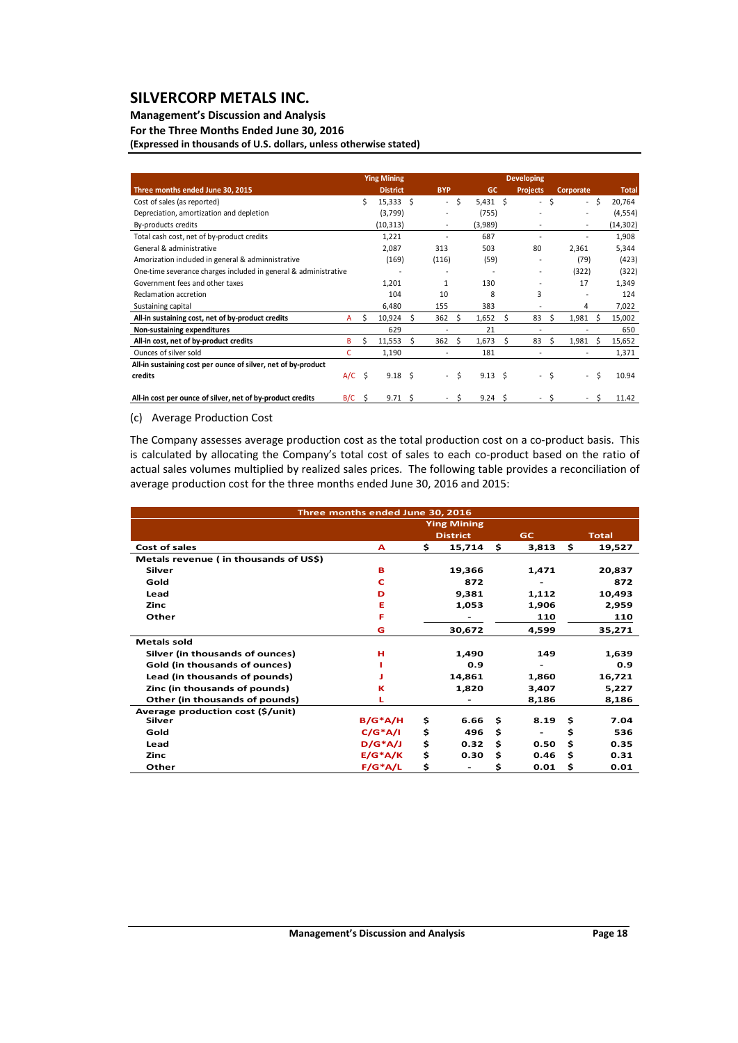### **Management's Discussion and Analysis**

**For the Three Months Ended June 30, 2016**

**(Expressed in thousands of U.S. dollars, unless otherwise stated)**

|                                                                 |          |    | <b>Ying Mining</b> |    |                          |                     |                |    | <b>Developing</b>        |      |                |    |              |
|-----------------------------------------------------------------|----------|----|--------------------|----|--------------------------|---------------------|----------------|----|--------------------------|------|----------------|----|--------------|
| Three months ended June 30, 2015                                |          |    | <b>District</b>    |    | <b>BYP</b>               |                     | <b>GC</b>      |    | <b>Projects</b>          |      | Corporate      |    | <b>Total</b> |
| Cost of sales (as reported)                                     |          | Ś. | 15,333             | Ŝ. |                          | - \$                | $5,431$ \$     |    | - \$                     |      | - \$           |    | 20,764       |
| Depreciation, amortization and depletion                        |          |    | (3,799)            |    | ٠                        |                     | (755)          |    |                          |      |                |    | (4,554)      |
| By-products credits                                             |          |    | (10, 313)          |    | ٠                        |                     | (3,989)        |    |                          |      | ٠              |    | (14, 302)    |
| Total cash cost, net of by-product credits                      |          |    | 1,221              |    | ٠                        |                     | 687            |    | $\overline{\phantom{a}}$ |      |                |    | 1,908        |
| General & administrative                                        |          |    | 2,087              |    | 313                      |                     | 503            |    | 80                       |      | 2,361          |    | 5,344        |
| Amorization included in general & adminnistrative               |          |    | (169)              |    | (116)                    |                     | (59)           |    |                          |      | (79)           |    | (423)        |
| One-time severance charges included in general & administrative |          |    |                    |    | ٠                        |                     | $\overline{a}$ |    | ٠                        |      | (322)          |    | (322)        |
| Government fees and other taxes                                 |          |    | 1,201              |    | $\mathbf{1}$             |                     | 130            |    |                          |      | 17             |    | 1,349        |
| Reclamation accretion                                           |          |    | 104                |    | 10                       |                     | 8              |    | 3                        |      |                |    | 124          |
| Sustaining capital                                              |          |    | 6,480              |    | 155                      |                     | 383            |    |                          |      | 4              |    | 7,022        |
| All-in sustaining cost, net of by-product credits               | А        |    | 10,924             | Ŝ. | 362                      |                     | 1,652          | Ś. | 83                       |      | 1,981          |    | 15,002       |
| Non-sustaining expenditures                                     |          |    | 629                |    |                          |                     | 21             |    |                          |      |                |    | 650          |
| All-in cost, net of by-product credits                          | в        | ς. | 11,553             | Ś. | 362                      | ς                   | 1,673          | Ś  | 83                       | S    | 1,981          | S  | 15,652       |
| Ounces of silver sold                                           | c        |    | 1,190              |    | $\overline{\phantom{0}}$ |                     | 181            |    | $\overline{\phantom{a}}$ |      |                |    | 1,371        |
| All-in sustaining cost per ounce of silver, net of by-product   |          |    |                    |    |                          |                     |                |    |                          |      |                |    |              |
| credits                                                         | $A/C$ \$ |    | 9.18               | Ŝ. | $\sim$                   | $\ddot{\mathsf{s}}$ | $9.13 \quad S$ |    | $\sim$                   | - \$ | $\overline{a}$ | Ś. | 10.94        |
| All-in cost per ounce of silver, net of by-product credits      | B/C      | Ŝ. | $9.71 \quad $5$    |    |                          | Ŝ                   | 9.24           | Ŝ  |                          |      |                | S  | 11.42        |

(c) Average Production Cost

The Company assesses average production cost as the total production cost on a co-product basis. This is calculated by allocating the Company's total cost of sales to each co-product based on the ratio of actual sales volumes multiplied by realized sales prices. The following table provides a reconciliation of average production cost for the three months ended June 30, 2016 and 2015:

|                                       | Three months ended June 30, 2016 |     |                    |             |              |
|---------------------------------------|----------------------------------|-----|--------------------|-------------|--------------|
|                                       |                                  |     | <b>Ying Mining</b> |             |              |
|                                       |                                  |     | <b>District</b>    | <b>GC</b>   | <b>Total</b> |
| <b>Cost of sales</b>                  | A                                | \$. | 15,714             | \$<br>3,813 | \$<br>19,527 |
| Metals revenue (in thousands of US\$) |                                  |     |                    |             |              |
| Silver                                | в                                |     | 19,366             | 1,471       | 20,837       |
| Gold                                  | C                                |     | 872                |             | 872          |
| Lead                                  | D                                |     | 9,381              | 1,112       | 10,493       |
| Zinc                                  | Е                                |     | 1,053              | 1,906       | 2,959        |
| Other                                 |                                  |     |                    | 110         | 110          |
|                                       | G                                |     | 30,672             | 4,599       | 35,271       |
| <b>Metals sold</b>                    |                                  |     |                    |             |              |
| Silver (in thousands of ounces)       | н                                |     | 1,490              | 149         | 1,639        |
| Gold (in thousands of ounces)         |                                  |     | 0.9                |             | 0.9          |
| Lead (in thousands of pounds)         |                                  |     | 14,861             | 1,860       | 16,721       |
| Zinc (in thousands of pounds)         | К                                |     | 1,820              | 3,407       | 5,227        |
| Other (in thousands of pounds)        |                                  |     |                    | 8,186       | 8,186        |
| Average production cost (\$/unit)     |                                  |     |                    |             |              |
| Silver                                | $B/G^*A/H$                       | \$  | 6.66               | \$<br>8.19  | \$<br>7.04   |
| Gold                                  | $C/G^*A/I$                       | \$  | 496                | \$          | \$<br>536    |
| Lead                                  | $D/G^*A/J$                       | \$  | 0.32               | \$<br>0.50  | \$<br>0.35   |
| Zinc                                  | $E/G^*A/K$                       | \$  | 0.30               | \$<br>0.46  | \$<br>0.31   |
| Other                                 | $F/G^*A/L$                       | \$  |                    | \$<br>0.01  | \$<br>0.01   |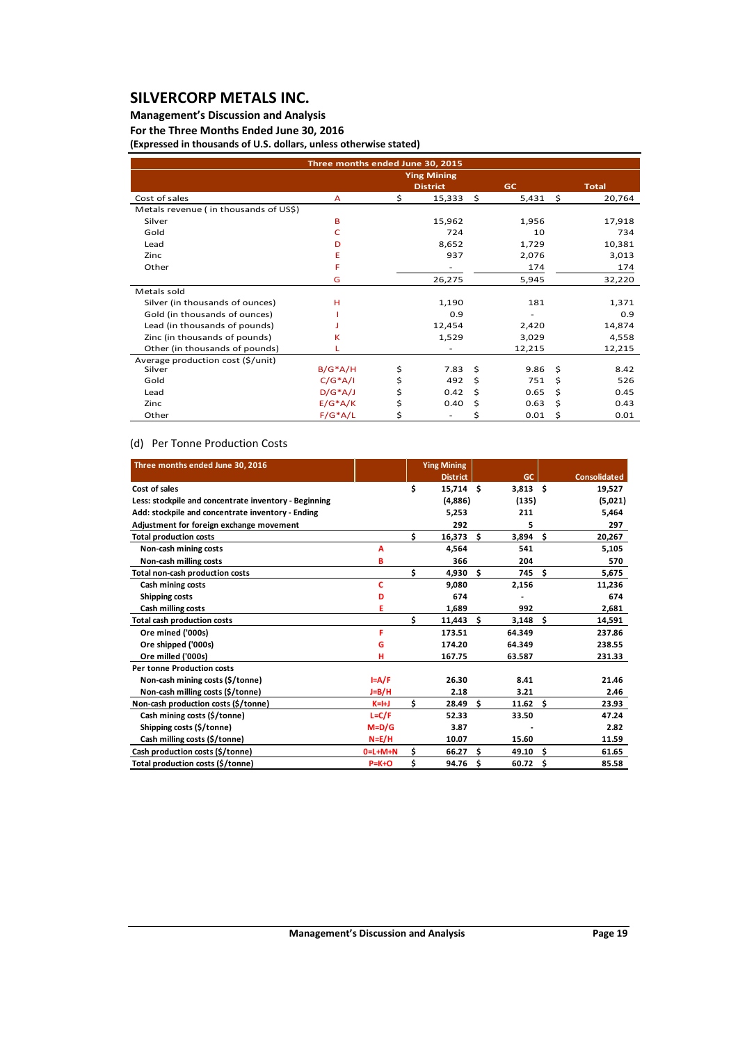### **Management's Discussion and Analysis**

### **For the Three Months Ended June 30, 2016**

**(Expressed in thousands of U.S. dollars, unless otherwise stated)**

|                                       | Three months ended June 30, 2015 |                    |              |           |      |              |
|---------------------------------------|----------------------------------|--------------------|--------------|-----------|------|--------------|
|                                       |                                  | <b>Ying Mining</b> |              |           |      |              |
|                                       |                                  | <b>District</b>    |              | <b>GC</b> |      | <b>Total</b> |
| Cost of sales                         | A                                | \$<br>15,333       | $\mathsf{S}$ | 5,431     | - \$ | 20,764       |
| Metals revenue (in thousands of US\$) |                                  |                    |              |           |      |              |
| Silver                                | B                                | 15,962             |              | 1,956     |      | 17,918       |
| Gold                                  | c                                | 724                |              | 10        |      | 734          |
| Lead                                  | D                                | 8,652              |              | 1,729     |      | 10,381       |
| Zinc                                  | Ε                                | 937                |              | 2,076     |      | 3,013        |
| Other                                 | F                                |                    |              | 174       |      | 174          |
|                                       | G                                | 26,275             |              | 5,945     |      | 32,220       |
| Metals sold                           |                                  |                    |              |           |      |              |
| Silver (in thousands of ounces)       | н                                | 1,190              |              | 181       |      | 1,371        |
| Gold (in thousands of ounces)         |                                  | 0.9                |              |           |      | 0.9          |
| Lead (in thousands of pounds)         |                                  | 12,454             |              | 2,420     |      | 14,874       |
| Zinc (in thousands of pounds)         | ĸ                                | 1,529              |              | 3,029     |      | 4,558        |
| Other (in thousands of pounds)        |                                  |                    |              | 12,215    |      | 12,215       |
| Average production cost (\$/unit)     |                                  |                    |              |           |      |              |
| Silver                                | $B/G^*A/H$                       | \$<br>7.83         | \$           | 9.86      | Ŝ    | 8.42         |
| Gold                                  | $C/G^*A/I$                       | \$<br>492          | Ś.           | 751       | Ś    | 526          |
| Lead                                  | $D/G^*A/J$                       | \$<br>0.42         | Ś            | 0.65      | Ś    | 0.45         |
| Zinc                                  | $E/G^*A/K$                       | \$<br>0.40         | Ś            | 0.63      | Ś    | 0.43         |
| Other                                 | $F/G^*A/L$                       | \$                 | Ś            | 0.01      | Ś    | 0.01         |

### (d) Per Tonne Production Costs

| Three months ended June 30, 2016                      |           |     | <b>Ying Mining</b> |     |            |    |                     |
|-------------------------------------------------------|-----------|-----|--------------------|-----|------------|----|---------------------|
|                                                       |           |     | <b>District</b>    |     | <b>GC</b>  |    | <b>Consolidated</b> |
| Cost of sales                                         |           | \$  | $15,714$ \$        |     | $3,813$ \$ |    | 19,527              |
| Less: stockpile and concentrate inventory - Beginning |           |     | (4,886)            |     | (135)      |    | (5,021)             |
| Add: stockpile and concentrate inventory - Ending     |           |     | 5,253              |     | 211        |    | 5,464               |
| Adjustment for foreign exchange movement              |           |     | 292                |     | 5          |    | 297                 |
| <b>Total production costs</b>                         |           | \$  | 16,373             | \$  | 3,894      | Ŝ. | 20,267              |
| Non-cash mining costs                                 | А         |     | 4,564              |     | 541        |    | 5,105               |
| Non-cash milling costs                                | в         |     | 366                |     | 204        |    | 570                 |
| Total non-cash production costs                       |           | \$  | 4,930              | Ŝ.  | 745        | Ś. | 5,675               |
| Cash mining costs                                     | Ċ         |     | 9.080              |     | 2,156      |    | 11,236              |
| Shipping costs                                        | D         |     | 674                |     |            |    | 674                 |
| Cash milling costs                                    | E         |     | 1,689              |     | 992        |    | 2,681               |
| Total cash production costs                           |           | \$  | $11,443$ \$        |     | $3,148$ \$ |    | 14,591              |
| Ore mined ('000s)                                     | F         |     | 173.51             |     | 64.349     |    | 237.86              |
| Ore shipped ('000s)                                   | G         |     | 174.20             |     | 64.349     |    | 238.55              |
| Ore milled ('000s)                                    | н         |     | 167.75             |     | 63.587     |    | 231.33              |
| <b>Per tonne Production costs</b>                     |           |     |                    |     |            |    |                     |
| Non-cash mining costs (\$/tonne)                      | $I = A/F$ |     | 26.30              |     | 8.41       |    | 21.46               |
| Non-cash milling costs (\$/tonne)                     | $J=B/H$   |     | 2.18               |     | 3.21       |    | 2.46                |
| Non-cash production costs (\$/tonne)                  | $K=H$     | \$  | 28.49              | Ŝ.  | 11.62      | Ŝ. | 23.93               |
| Cash mining costs (\$/tonne)                          | $L = C/F$ |     | 52.33              |     | 33.50      |    | 47.24               |
| Shipping costs (\$/tonne)                             | $M=D/G$   |     | 3.87               |     |            |    | 2.82                |
| Cash milling costs (\$/tonne)                         | $N = E/H$ |     | 10.07              |     | 15.60      |    | 11.59               |
| Cash production costs (\$/tonne)                      | $0=L+M+N$ | \$. | 66.27              | Ŝ.  | 49.10      | Ś. | 61.65               |
| Total production costs (\$/tonne)                     | $P=K+O$   | \$  | 94.76              | \$. | 60.72      | \$ | 85.58               |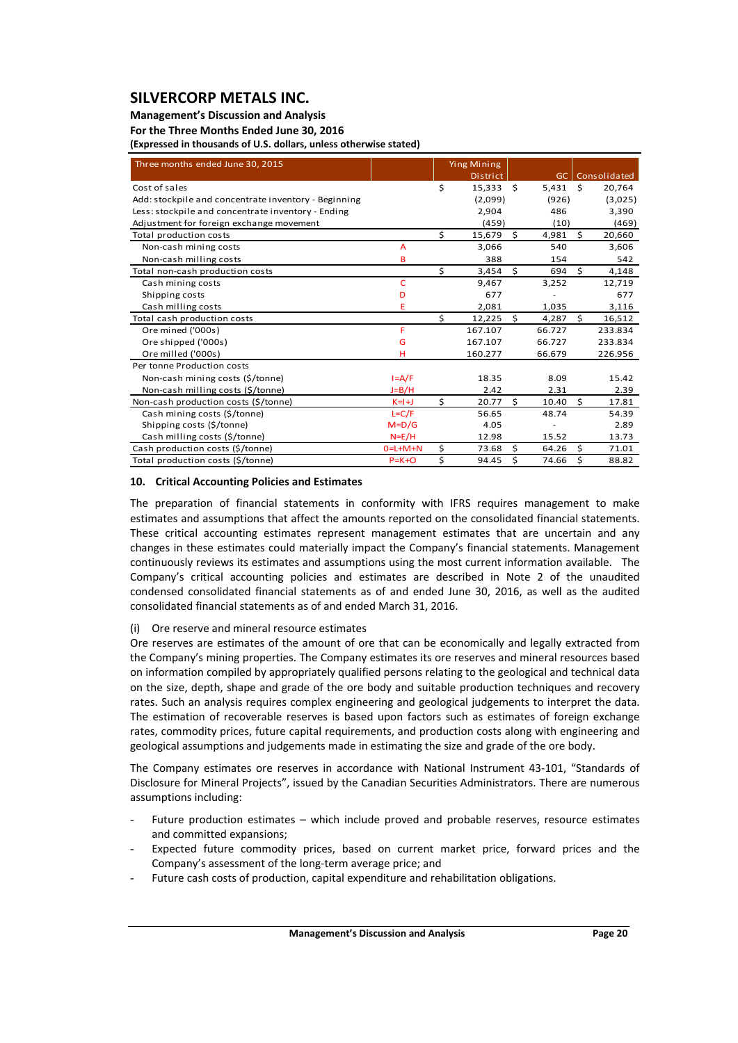#### **Management's Discussion and Analysis**

#### **For the Three Months Ended June 30, 2016**

**(Expressed in thousands of U.S. dollars, unless otherwise stated)**

| Three months ended June 30, 2015                     |             |    | <b>Ying Mining</b><br><b>District</b> |      | GC I   |     | Consolidated |
|------------------------------------------------------|-------------|----|---------------------------------------|------|--------|-----|--------------|
| Cost of sales                                        |             | Ś  | 15.333                                | - \$ | 5.431  | - Ś | 20,764       |
| Add: stockpile and concentrate inventory - Beginning |             |    | (2,099)                               |      | (926)  |     | (3,025)      |
| Less: stockpile and concentrate inventory - Ending   |             |    | 2,904                                 |      | 486    |     | 3,390        |
| Adjustment for foreign exchange movement             |             |    | (459)                                 |      | (10)   |     | (469)        |
| Total production costs                               |             | Ś. | 15,679                                | Ś.   | 4,981  | \$  | 20,660       |
| Non-cash mining costs                                | A           |    | 3.066                                 |      | 540    |     | 3,606        |
| Non-cash milling costs                               | B           |    | 388                                   |      | 154    |     | 542          |
| Total non-cash production costs                      |             | \$ | 3,454                                 | \$   | 694    | \$  | 4,148        |
| Cash mining costs                                    | c           |    | 9,467                                 |      | 3,252  |     | 12,719       |
| Shipping costs                                       | D           |    | 677                                   |      |        |     | 677          |
| Cash milling costs                                   | Ë           |    | 2,081                                 |      | 1,035  |     | 3,116        |
| Total cash production costs                          |             | Ś. | 12,225                                | Ś.   | 4,287  | Ŝ.  | 16,512       |
| Ore mined ('000s)                                    | F           |    | 167.107                               |      | 66.727 |     | 233.834      |
| Ore shipped ('000s)                                  | G           |    | 167.107                               |      | 66.727 |     | 233.834      |
| Ore milled ('000s)                                   | н           |    | 160.277                               |      | 66.679 |     | 226.956      |
| Per tonne Production costs                           |             |    |                                       |      |        |     |              |
| Non-cash mining costs (\$/tonne)                     | $I = A/F$   |    | 18.35                                 |      | 8.09   |     | 15.42        |
| Non-cash milling costs (\$/tonne)                    | $J=B/H$     |    | 2.42                                  |      | 2.31   |     | 2.39         |
| Non-cash production costs (\$/tonne)                 | $K=1+J$     | \$ | 20.77                                 | Ś.   | 10.40  | \$  | 17.81        |
| Cash mining costs (\$/tonne)                         | $L = C/F$   |    | 56.65                                 |      | 48.74  |     | 54.39        |
| Shipping costs (\$/tonne)                            | $M=D/G$     |    | 4.05                                  |      |        |     | 2.89         |
| Cash milling costs (\$/tonne)                        | $N=E/H$     |    | 12.98                                 |      | 15.52  |     | 13.73        |
| Cash production costs (\$/tonne)                     | $0=L+M+N$   | \$ | 73.68                                 | Ś.   | 64.26  | \$  | 71.01        |
| Total production costs (\$/tonne)                    | $P = K + O$ | \$ | 94.45                                 | Ś    | 74.66  | \$  | 88.82        |

### **10. Critical Accounting Policies and Estimates**

The preparation of financial statements in conformity with IFRS requires management to make estimates and assumptions that affect the amounts reported on the consolidated financial statements. These critical accounting estimates represent management estimates that are uncertain and any changes in these estimates could materially impact the Company's financial statements. Management continuously reviews its estimates and assumptions using the most current information available. The Company's critical accounting policies and estimates are described in Note 2 of the unaudited condensed consolidated financial statements as of and ended June 30, 2016, as well as the audited consolidated financial statements as of and ended March 31, 2016.

### (i) Ore reserve and mineral resource estimates

Ore reserves are estimates of the amount of ore that can be economically and legally extracted from the Company's mining properties. The Company estimates its ore reserves and mineral resources based on information compiled by appropriately qualified persons relating to the geological and technical data on the size, depth, shape and grade of the ore body and suitable production techniques and recovery rates. Such an analysis requires complex engineering and geological judgements to interpret the data. The estimation of recoverable reserves is based upon factors such as estimates of foreign exchange rates, commodity prices, future capital requirements, and production costs along with engineering and geological assumptions and judgements made in estimating the size and grade of the ore body.

The Company estimates ore reserves in accordance with National Instrument 43‐101, "Standards of Disclosure for Mineral Projects", issued by the Canadian Securities Administrators. There are numerous assumptions including:

- Future production estimates which include proved and probable reserves, resource estimates and committed expansions;
- Expected future commodity prices, based on current market price, forward prices and the Company's assessment of the long‐term average price; and
- Future cash costs of production, capital expenditure and rehabilitation obligations.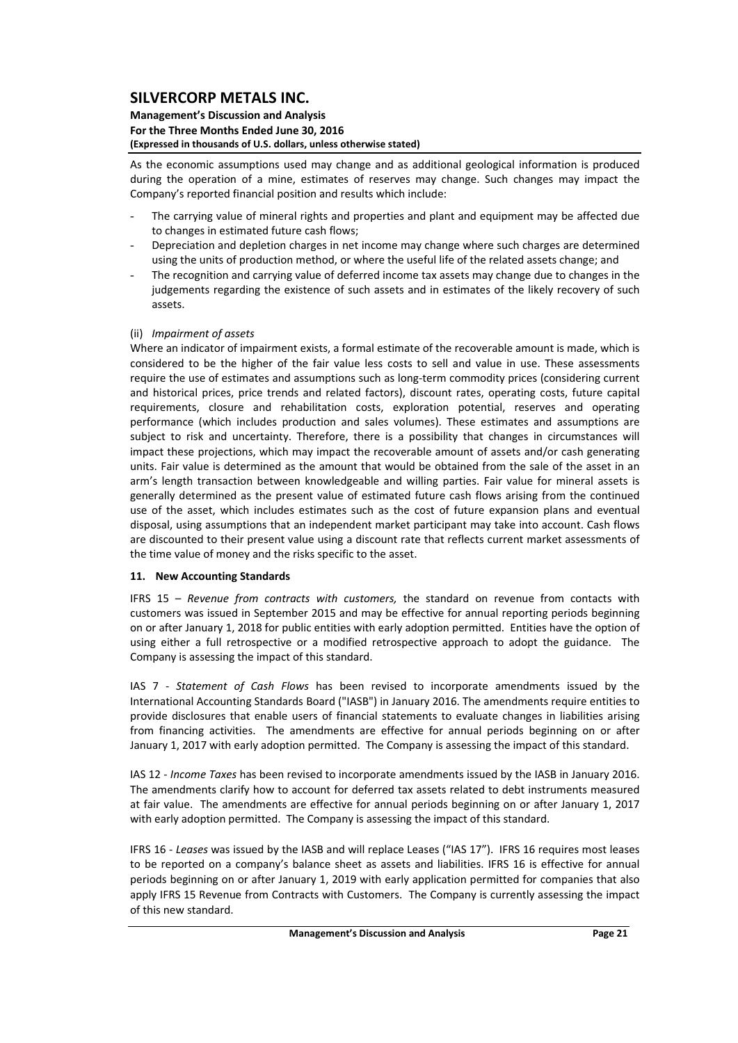#### **Management's Discussion and Analysis For the Three Months Ended June 30, 2016 (Expressed in thousands of U.S. dollars, unless otherwise stated)**

As the economic assumptions used may change and as additional geological information is produced during the operation of a mine, estimates of reserves may change. Such changes may impact the Company's reported financial position and results which include:

- The carrying value of mineral rights and properties and plant and equipment may be affected due to changes in estimated future cash flows;
- Depreciation and depletion charges in net income may change where such charges are determined using the units of production method, or where the useful life of the related assets change; and
- The recognition and carrying value of deferred income tax assets may change due to changes in the judgements regarding the existence of such assets and in estimates of the likely recovery of such assets.

### (ii) *Impairment of assets*

Where an indicator of impairment exists, a formal estimate of the recoverable amount is made, which is considered to be the higher of the fair value less costs to sell and value in use. These assessments require the use of estimates and assumptions such as long‐term commodity prices (considering current and historical prices, price trends and related factors), discount rates, operating costs, future capital requirements, closure and rehabilitation costs, exploration potential, reserves and operating performance (which includes production and sales volumes). These estimates and assumptions are subject to risk and uncertainty. Therefore, there is a possibility that changes in circumstances will impact these projections, which may impact the recoverable amount of assets and/or cash generating units. Fair value is determined as the amount that would be obtained from the sale of the asset in an arm's length transaction between knowledgeable and willing parties. Fair value for mineral assets is generally determined as the present value of estimated future cash flows arising from the continued use of the asset, which includes estimates such as the cost of future expansion plans and eventual disposal, using assumptions that an independent market participant may take into account. Cash flows are discounted to their present value using a discount rate that reflects current market assessments of the time value of money and the risks specific to the asset.

#### **11. New Accounting Standards**

IFRS 15 – *Revenue from contracts with customers,* the standard on revenue from contacts with customers was issued in September 2015 and may be effective for annual reporting periods beginning on or after January 1, 2018 for public entities with early adoption permitted. Entities have the option of using either a full retrospective or a modified retrospective approach to adopt the guidance. The Company is assessing the impact of this standard.

IAS 7 ‐ *Statement of Cash Flows* has been revised to incorporate amendments issued by the International Accounting Standards Board ("IASB") in January 2016. The amendments require entities to provide disclosures that enable users of financial statements to evaluate changes in liabilities arising from financing activities. The amendments are effective for annual periods beginning on or after January 1, 2017 with early adoption permitted. The Company is assessing the impact of this standard.

IAS 12 ‐ *Income Taxes* has been revised to incorporate amendments issued by the IASB in January 2016. The amendments clarify how to account for deferred tax assets related to debt instruments measured at fair value. The amendments are effective for annual periods beginning on or after January 1, 2017 with early adoption permitted. The Company is assessing the impact of this standard.

IFRS 16 ‐ *Leases* was issued by the IASB and will replace Leases ("IAS 17"). IFRS 16 requires most leases to be reported on a company's balance sheet as assets and liabilities. IFRS 16 is effective for annual periods beginning on or after January 1, 2019 with early application permitted for companies that also apply IFRS 15 Revenue from Contracts with Customers. The Company is currently assessing the impact of this new standard.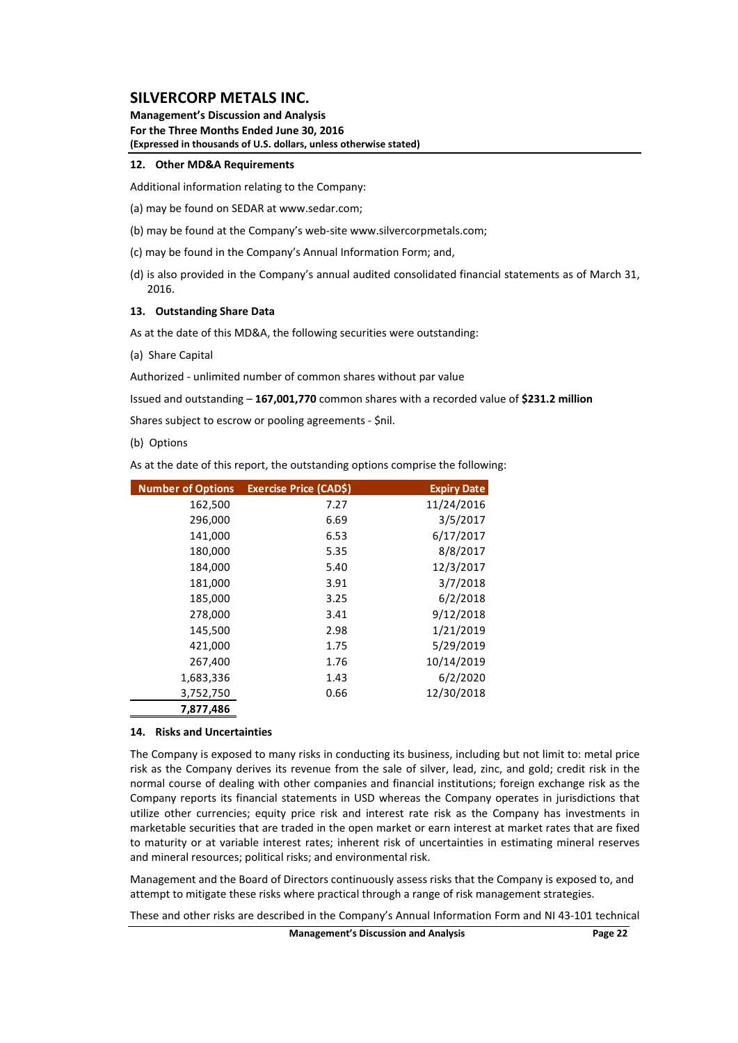**Management's Discussion and Analysis For the Three Months Ended June 30, 2016 (Expressed in thousands of U.S. dollars, unless otherwise stated)**

#### **12. Other MD&A Requirements**

Additional information relating to the Company:

- (a) may be found on SEDAR at www.sedar.com;
- (b) may be found at the Company's web‐site www.silvercorpmetals.com;
- (c) may be found in the Company's Annual Information Form; and,
- (d) is also provided in the Company's annual audited consolidated financial statements as of March 31, 2016.

#### **13. Outstanding Share Data**

As at the date of this MD&A, the following securities were outstanding:

(a) Share Capital

Authorized ‐ unlimited number of common shares without par value

Issued and outstanding – **167,001,770** common shares with a recorded value of **\$231.2 million**

Shares subject to escrow or pooling agreements ‐ \$nil.

(b) Options

As at the date of this report, the outstanding options comprise the following:

| <b>Number of Options</b> | Exercise Price (CAD\$) | <b>Expiry Date</b> |
|--------------------------|------------------------|--------------------|
| 162,500                  | 7.27                   | 11/24/2016         |
| 296,000                  | 6.69                   | 3/5/2017           |
| 141,000                  | 6.53                   | 6/17/2017          |
| 180,000                  | 5.35                   | 8/8/2017           |
| 184,000                  | 5.40                   | 12/3/2017          |
| 181,000                  | 3.91                   | 3/7/2018           |
| 185,000                  | 3.25                   | 6/2/2018           |
| 278,000                  | 3.41                   | 9/12/2018          |
| 145,500                  | 2.98                   | 1/21/2019          |
| 421,000                  | 1.75                   | 5/29/2019          |
| 267,400                  | 1.76                   | 10/14/2019         |
| 1,683,336                | 1.43                   | 6/2/2020           |
| 3,752,750                | 0.66                   | 12/30/2018         |
| 7,877,486                |                        |                    |

#### **14. Risks and Uncertainties**

The Company is exposed to many risks in conducting its business, including but not limit to: metal price risk as the Company derives its revenue from the sale of silver, lead, zinc, and gold; credit risk in the normal course of dealing with other companies and financial institutions; foreign exchange risk as the Company reports its financial statements in USD whereas the Company operates in jurisdictions that utilize other currencies; equity price risk and interest rate risk as the Company has investments in marketable securities that are traded in the open market or earn interest at market rates that are fixed to maturity or at variable interest rates; inherent risk of uncertainties in estimating mineral reserves and mineral resources; political risks; and environmental risk.

Management and the Board of Directors continuously assess risks that the Company is exposed to, and attempt to mitigate these risks where practical through a range of risk management strategies.

These and other risks are described in the Company's Annual Information Form and NI 43‐101 technical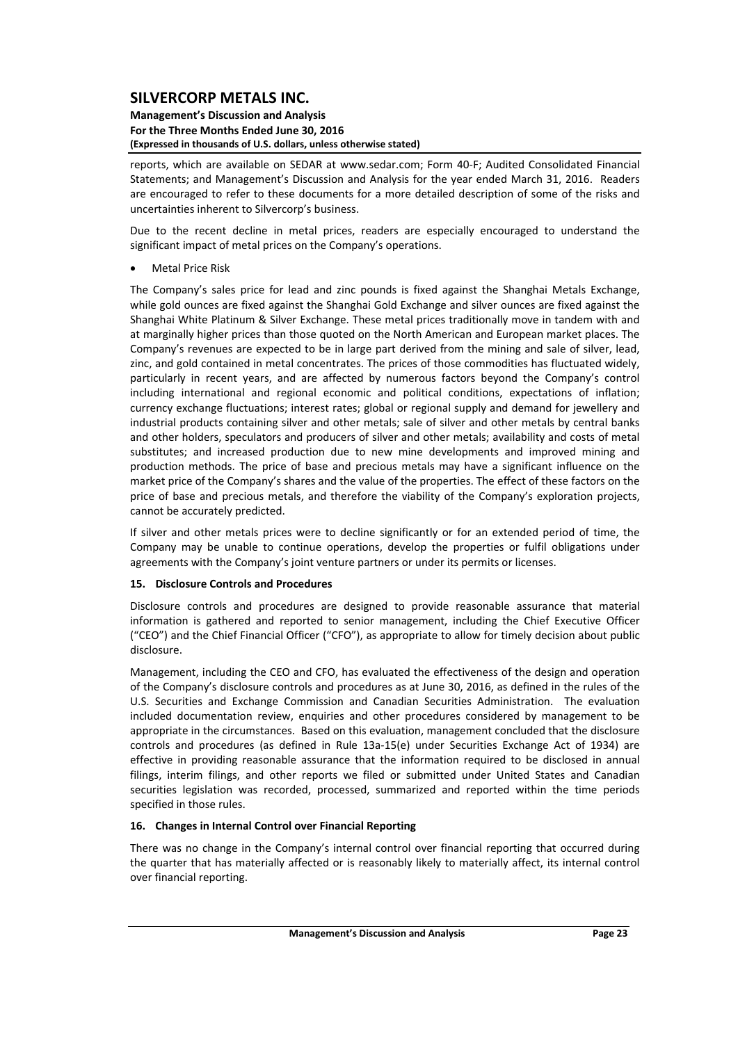#### **Management's Discussion and Analysis For the Three Months Ended June 30, 2016 (Expressed in thousands of U.S. dollars, unless otherwise stated)**

reports, which are available on SEDAR at www.sedar.com; Form 40‐F; Audited Consolidated Financial Statements; and Management's Discussion and Analysis for the year ended March 31, 2016. Readers are encouraged to refer to these documents for a more detailed description of some of the risks and uncertainties inherent to Silvercorp's business.

Due to the recent decline in metal prices, readers are especially encouraged to understand the significant impact of metal prices on the Company's operations.

Metal Price Risk

The Company's sales price for lead and zinc pounds is fixed against the Shanghai Metals Exchange, while gold ounces are fixed against the Shanghai Gold Exchange and silver ounces are fixed against the Shanghai White Platinum & Silver Exchange. These metal prices traditionally move in tandem with and at marginally higher prices than those quoted on the North American and European market places. The Company's revenues are expected to be in large part derived from the mining and sale of silver, lead, zinc, and gold contained in metal concentrates. The prices of those commodities has fluctuated widely, particularly in recent years, and are affected by numerous factors beyond the Company's control including international and regional economic and political conditions, expectations of inflation; currency exchange fluctuations; interest rates; global or regional supply and demand for jewellery and industrial products containing silver and other metals; sale of silver and other metals by central banks and other holders, speculators and producers of silver and other metals; availability and costs of metal substitutes; and increased production due to new mine developments and improved mining and production methods. The price of base and precious metals may have a significant influence on the market price of the Company's shares and the value of the properties. The effect of these factors on the price of base and precious metals, and therefore the viability of the Company's exploration projects, cannot be accurately predicted.

If silver and other metals prices were to decline significantly or for an extended period of time, the Company may be unable to continue operations, develop the properties or fulfil obligations under agreements with the Company's joint venture partners or under its permits or licenses.

### **15. Disclosure Controls and Procedures**

Disclosure controls and procedures are designed to provide reasonable assurance that material information is gathered and reported to senior management, including the Chief Executive Officer ("CEO") and the Chief Financial Officer ("CFO"), as appropriate to allow for timely decision about public disclosure.

Management, including the CEO and CFO, has evaluated the effectiveness of the design and operation of the Company's disclosure controls and procedures as at June 30, 2016, as defined in the rules of the U.S. Securities and Exchange Commission and Canadian Securities Administration. The evaluation included documentation review, enquiries and other procedures considered by management to be appropriate in the circumstances. Based on this evaluation, management concluded that the disclosure controls and procedures (as defined in Rule 13a‐15(e) under Securities Exchange Act of 1934) are effective in providing reasonable assurance that the information required to be disclosed in annual filings, interim filings, and other reports we filed or submitted under United States and Canadian securities legislation was recorded, processed, summarized and reported within the time periods specified in those rules.

### **16. Changes in Internal Control over Financial Reporting**

There was no change in the Company's internal control over financial reporting that occurred during the quarter that has materially affected or is reasonably likely to materially affect, its internal control over financial reporting.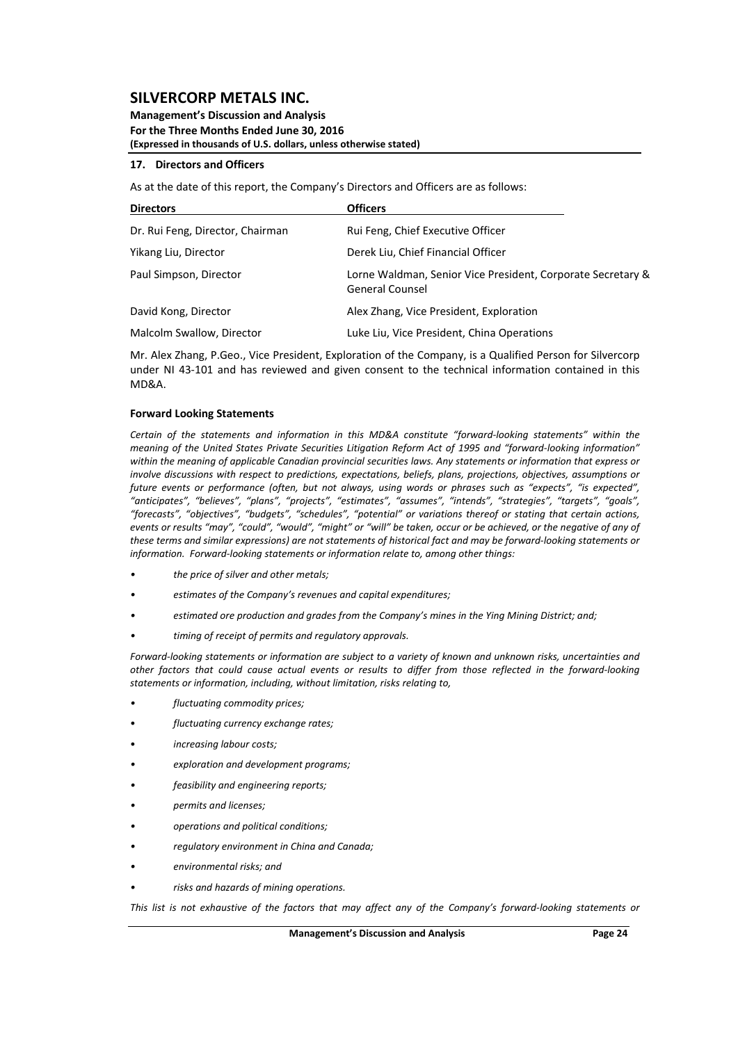#### **Management's Discussion and Analysis For the Three Months Ended June 30, 2016 (Expressed in thousands of U.S. dollars, unless otherwise stated)**

#### **17. Directors and Officers**

As at the date of this report, the Company's Directors and Officers are as follows:

| <b>Directors</b>                 | <b>Officers</b>                                                                       |
|----------------------------------|---------------------------------------------------------------------------------------|
| Dr. Rui Feng, Director, Chairman | Rui Feng, Chief Executive Officer                                                     |
| Yikang Liu, Director             | Derek Liu, Chief Financial Officer                                                    |
| Paul Simpson, Director           | Lorne Waldman, Senior Vice President, Corporate Secretary &<br><b>General Counsel</b> |
| David Kong, Director             | Alex Zhang, Vice President, Exploration                                               |
| Malcolm Swallow, Director        | Luke Liu, Vice President, China Operations                                            |

Mr. Alex Zhang, P.Geo., Vice President, Exploration of the Company, is a Qualified Person for Silvercorp under NI 43‐101 and has reviewed and given consent to the technical information contained in this MD&A.

#### **Forward Looking Statements**

*Certain of the statements and information in this MD&A constitute "forward‐looking statements" within the* meaning of the United States Private Securities Litigation Reform Act of 1995 and "forward-looking information" within the meaning of applicable Canadian provincial securities laws. Any statements or information that express or *involve discussions with respect to predictions, expectations, beliefs, plans, projections, objectives, assumptions or* future events or performance (often, but not always, using words or phrases such as "expects", "is expected", *"anticipates", "believes", "plans", "projects", "estimates", "assumes", "intends", "strategies", "targets", "goals", "forecasts", "objectives", "budgets", "schedules", "potential" or variations thereof or stating that certain actions,* events or results "may", "could", "would", "might" or "will" be taken, occur or be achieved, or the negative of any of these terms and similar expressions) are not statements of historical fact and may be forward-looking statements or *information. Forward‐looking statements or information relate to, among other things:*

- *• the price of silver and other metals;*
- *• estimates of the Company's revenues and capital expenditures;*
- *• estimated ore production and grades from the Company's mines in the Ying Mining District; and;*
- *• timing of receipt of permits and regulatory approvals.*

Forward-looking statements or information are subject to a variety of known and unknown risks, uncertainties and other factors that could cause actual events or results to differ from those reflected in the forward-looking *statements or information, including, without limitation, risks relating to,* 

- *• fluctuating commodity prices;*
- *fluctuating currency exchange rates;*
- *increasing labour costs;*
- *• exploration and development programs;*
- *• feasibility and engineering reports;*
- *• permits and licenses;*
- *• operations and political conditions;*
- *• regulatory environment in China and Canada;*
- *• environmental risks; and*
- *• risks and hazards of mining operations.*

This list is not exhaustive of the factors that may affect any of the Company's forward-lookina statements or